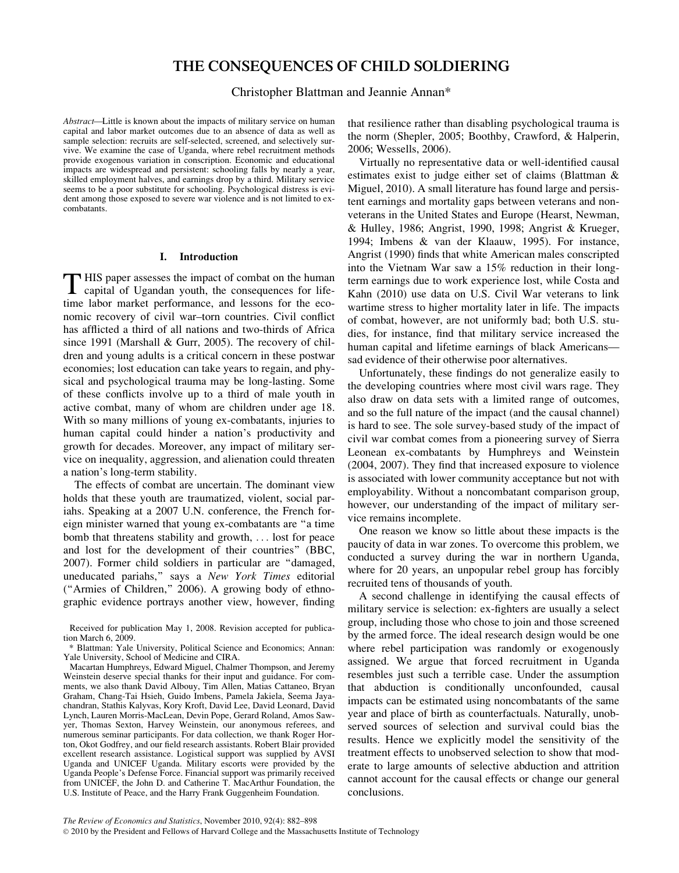# THE CONSEQUENCES OF CHILD SOLDIERING

# Christopher Blattman and Jeannie Annan\*

Abstract—Little is known about the impacts of military service on human capital and labor market outcomes due to an absence of data as well as sample selection: recruits are self-selected, screened, and selectively survive. We examine the case of Uganda, where rebel recruitment methods provide exogenous variation in conscription. Economic and educational impacts are widespread and persistent: schooling falls by nearly a year, skilled employment halves, and earnings drop by a third. Military service seems to be a poor substitute for schooling. Psychological distress is evident among those exposed to severe war violence and is not limited to excombatants.

### I. Introduction

T HIS paper assesses the impact of combat on the human capital of Ugandan youth, the consequences for lifetime labor market performance, and lessons for the economic recovery of civil war–torn countries. Civil conflict has afflicted a third of all nations and two-thirds of Africa since 1991 (Marshall & Gurr, 2005). The recovery of children and young adults is a critical concern in these postwar economies; lost education can take years to regain, and physical and psychological trauma may be long-lasting. Some of these conflicts involve up to a third of male youth in active combat, many of whom are children under age 18. With so many millions of young ex-combatants, injuries to human capital could hinder a nation's productivity and growth for decades. Moreover, any impact of military service on inequality, aggression, and alienation could threaten a nation's long-term stability.

The effects of combat are uncertain. The dominant view holds that these youth are traumatized, violent, social pariahs. Speaking at a 2007 U.N. conference, the French foreign minister warned that young ex-combatants are ''a time bomb that threatens stability and growth, ... lost for peace and lost for the development of their countries'' (BBC, 2007). Former child soldiers in particular are ''damaged, uneducated pariahs,'' says a New York Times editorial (''Armies of Children,'' 2006). A growing body of ethnographic evidence portrays another view, however, finding

\* Blattman: Yale University, Political Science and Economics; Annan: Yale University, School of Medicine and CIRA.

Macartan Humphreys, Edward Miguel, Chalmer Thompson, and Jeremy Weinstein deserve special thanks for their input and guidance. For comments, we also thank David Albouy, Tim Allen, Matias Cattaneo, Bryan Graham, Chang-Tai Hsieh, Guido Imbens, Pamela Jakiela, Seema Jayachandran, Stathis Kalyvas, Kory Kroft, David Lee, David Leonard, David Lynch, Lauren Morris-MacLean, Devin Pope, Gerard Roland, Amos Sawyer, Thomas Sexton, Harvey Weinstein, our anonymous referees, and numerous seminar participants. For data collection, we thank Roger Horton, Okot Godfrey, and our field research assistants. Robert Blair provided excellent research assistance. Logistical support was supplied by AVSI Uganda and UNICEF Uganda. Military escorts were provided by the Uganda People's Defense Force. Financial support was primarily received from UNICEF, the John D. and Catherine T. MacArthur Foundation, the U.S. Institute of Peace, and the Harry Frank Guggenheim Foundation.

that resilience rather than disabling psychological trauma is the norm (Shepler, 2005; Boothby, Crawford, & Halperin, 2006; Wessells, 2006).

Virtually no representative data or well-identified causal estimates exist to judge either set of claims (Blattman & Miguel, 2010). A small literature has found large and persistent earnings and mortality gaps between veterans and nonveterans in the United States and Europe (Hearst, Newman, & Hulley, 1986; Angrist, 1990, 1998; Angrist & Krueger, 1994; Imbens & van der Klaauw, 1995). For instance, Angrist (1990) finds that white American males conscripted into the Vietnam War saw a 15% reduction in their longterm earnings due to work experience lost, while Costa and Kahn (2010) use data on U.S. Civil War veterans to link wartime stress to higher mortality later in life. The impacts of combat, however, are not uniformly bad; both U.S. studies, for instance, find that military service increased the human capital and lifetime earnings of black Americans sad evidence of their otherwise poor alternatives.

Unfortunately, these findings do not generalize easily to the developing countries where most civil wars rage. They also draw on data sets with a limited range of outcomes, and so the full nature of the impact (and the causal channel) is hard to see. The sole survey-based study of the impact of civil war combat comes from a pioneering survey of Sierra Leonean ex-combatants by Humphreys and Weinstein (2004, 2007). They find that increased exposure to violence is associated with lower community acceptance but not with employability. Without a noncombatant comparison group, however, our understanding of the impact of military service remains incomplete.

One reason we know so little about these impacts is the paucity of data in war zones. To overcome this problem, we conducted a survey during the war in northern Uganda, where for 20 years, an unpopular rebel group has forcibly recruited tens of thousands of youth.

A second challenge in identifying the causal effects of military service is selection: ex-fighters are usually a select group, including those who chose to join and those screened by the armed force. The ideal research design would be one where rebel participation was randomly or exogenously assigned. We argue that forced recruitment in Uganda resembles just such a terrible case. Under the assumption that abduction is conditionally unconfounded, causal impacts can be estimated using noncombatants of the same year and place of birth as counterfactuals. Naturally, unobserved sources of selection and survival could bias the results. Hence we explicitly model the sensitivity of the treatment effects to unobserved selection to show that moderate to large amounts of selective abduction and attrition cannot account for the causal effects or change our general conclusions.

Received for publication May 1, 2008. Revision accepted for publication March 6, 2009.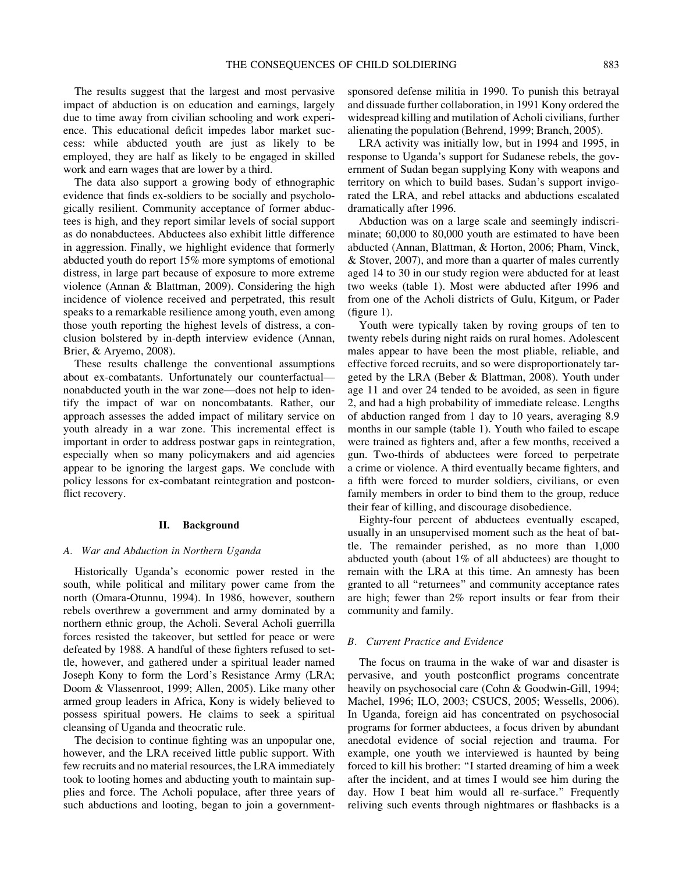The results suggest that the largest and most pervasive impact of abduction is on education and earnings, largely due to time away from civilian schooling and work experience. This educational deficit impedes labor market success: while abducted youth are just as likely to be employed, they are half as likely to be engaged in skilled work and earn wages that are lower by a third.

The data also support a growing body of ethnographic evidence that finds ex-soldiers to be socially and psychologically resilient. Community acceptance of former abductees is high, and they report similar levels of social support as do nonabductees. Abductees also exhibit little difference in aggression. Finally, we highlight evidence that formerly abducted youth do report 15% more symptoms of emotional distress, in large part because of exposure to more extreme violence (Annan & Blattman, 2009). Considering the high incidence of violence received and perpetrated, this result speaks to a remarkable resilience among youth, even among those youth reporting the highest levels of distress, a conclusion bolstered by in-depth interview evidence (Annan, Brier, & Aryemo, 2008).

These results challenge the conventional assumptions about ex-combatants. Unfortunately our counterfactual nonabducted youth in the war zone—does not help to identify the impact of war on noncombatants. Rather, our approach assesses the added impact of military service on youth already in a war zone. This incremental effect is important in order to address postwar gaps in reintegration, especially when so many policymakers and aid agencies appear to be ignoring the largest gaps. We conclude with policy lessons for ex-combatant reintegration and postconflict recovery.

#### II. Background

### A. War and Abduction in Northern Uganda

Historically Uganda's economic power rested in the south, while political and military power came from the north (Omara-Otunnu, 1994). In 1986, however, southern rebels overthrew a government and army dominated by a northern ethnic group, the Acholi. Several Acholi guerrilla forces resisted the takeover, but settled for peace or were defeated by 1988. A handful of these fighters refused to settle, however, and gathered under a spiritual leader named Joseph Kony to form the Lord's Resistance Army (LRA; Doom & Vlassenroot, 1999; Allen, 2005). Like many other armed group leaders in Africa, Kony is widely believed to possess spiritual powers. He claims to seek a spiritual cleansing of Uganda and theocratic rule.

The decision to continue fighting was an unpopular one, however, and the LRA received little public support. With few recruits and no material resources, the LRA immediately took to looting homes and abducting youth to maintain supplies and force. The Acholi populace, after three years of such abductions and looting, began to join a governmentsponsored defense militia in 1990. To punish this betrayal and dissuade further collaboration, in 1991 Kony ordered the widespread killing and mutilation of Acholi civilians, further alienating the population (Behrend, 1999; Branch, 2005).

LRA activity was initially low, but in 1994 and 1995, in response to Uganda's support for Sudanese rebels, the government of Sudan began supplying Kony with weapons and territory on which to build bases. Sudan's support invigorated the LRA, and rebel attacks and abductions escalated dramatically after 1996.

Abduction was on a large scale and seemingly indiscriminate; 60,000 to 80,000 youth are estimated to have been abducted (Annan, Blattman, & Horton, 2006; Pham, Vinck, & Stover, 2007), and more than a quarter of males currently aged 14 to 30 in our study region were abducted for at least two weeks (table 1). Most were abducted after 1996 and from one of the Acholi districts of Gulu, Kitgum, or Pader (figure 1).

Youth were typically taken by roving groups of ten to twenty rebels during night raids on rural homes. Adolescent males appear to have been the most pliable, reliable, and effective forced recruits, and so were disproportionately targeted by the LRA (Beber & Blattman, 2008). Youth under age 11 and over 24 tended to be avoided, as seen in figure 2, and had a high probability of immediate release. Lengths of abduction ranged from 1 day to 10 years, averaging 8.9 months in our sample (table 1). Youth who failed to escape were trained as fighters and, after a few months, received a gun. Two-thirds of abductees were forced to perpetrate a crime or violence. A third eventually became fighters, and a fifth were forced to murder soldiers, civilians, or even family members in order to bind them to the group, reduce their fear of killing, and discourage disobedience.

Eighty-four percent of abductees eventually escaped, usually in an unsupervised moment such as the heat of battle. The remainder perished, as no more than 1,000 abducted youth (about 1% of all abductees) are thought to remain with the LRA at this time. An amnesty has been granted to all ''returnees'' and community acceptance rates are high; fewer than 2% report insults or fear from their community and family.

### B. Current Practice and Evidence

The focus on trauma in the wake of war and disaster is pervasive, and youth postconflict programs concentrate heavily on psychosocial care (Cohn & Goodwin-Gill, 1994; Machel, 1996; ILO, 2003; CSUCS, 2005; Wessells, 2006). In Uganda, foreign aid has concentrated on psychosocial programs for former abductees, a focus driven by abundant anecdotal evidence of social rejection and trauma. For example, one youth we interviewed is haunted by being forced to kill his brother: ''I started dreaming of him a week after the incident, and at times I would see him during the day. How I beat him would all re-surface.'' Frequently reliving such events through nightmares or flashbacks is a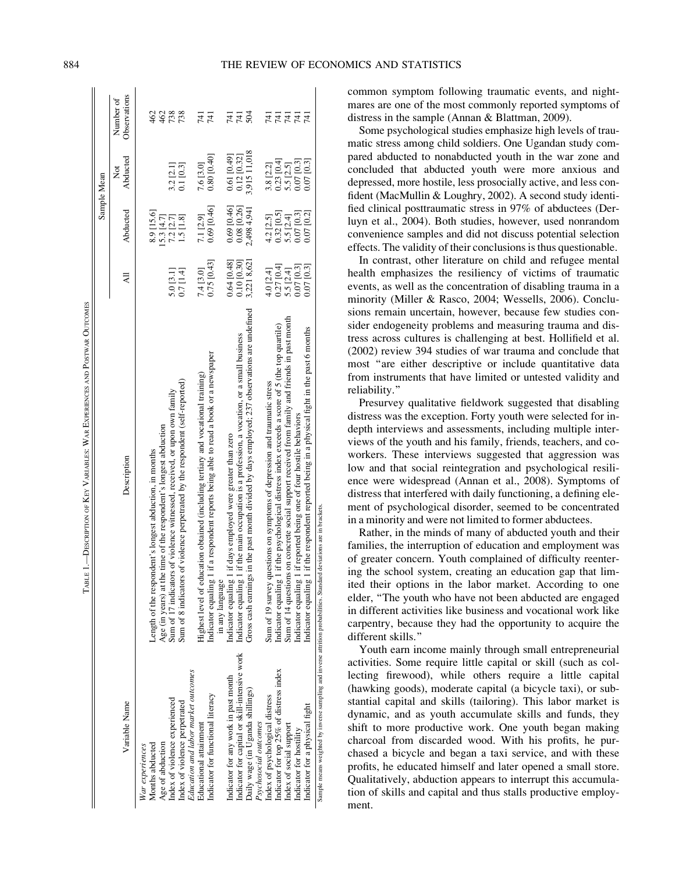|                                                                      |                                                                                                                                              |                           |              | Sample Mean                 |                           |
|----------------------------------------------------------------------|----------------------------------------------------------------------------------------------------------------------------------------------|---------------------------|--------------|-----------------------------|---------------------------|
| Variable Name                                                        | Description                                                                                                                                  |                           | Abducted     | Abducted<br>ž               | Number of<br>Observations |
| Months abducted<br>War experiences                                   | Length of the respondent's longest abduction, in months                                                                                      |                           | 8.9 [15.6]   |                             | 462                       |
| Age of abduction                                                     | Age (in years) at the time of the respondent's longest abduction<br>Sum of 17 indicators of violence witnessed, received, or upon own family |                           | 15.3 [4.7]   |                             | 462<br>738                |
| Index of violence experienced                                        |                                                                                                                                              | 5.0 [3.1]                 | 7.2 [2.7]    | 3.2 [2.1]                   |                           |
| Education and labor market outcomes<br>Index of violence perpetrated | Sum of 8 indicators of violence perpetrated by the respondent (self-reported)                                                                | $0.7$ [1.4]               | $1.5\ [1.8]$ | $0.1\,[0.3]$                | 738                       |
| Educational attainment                                               | Highest level of education obtained (including tertiary and vocational training)                                                             | 7.4 [3.0]                 | 7.1 [2.9]    | 7.6 [3.0]                   | 741                       |
| Indicator for functional literacy                                    | Indicator equaling 1 if a respondent reports being able to read a book or a newspaper<br>in any language                                     | 0.75 [0.43]               | 0.69 [0.46]  | 0.80 [0.40]                 | 741                       |
| Indicator for any work in past month                                 | Indicator equaling 1 if days employed were greater than zero                                                                                 | $0.64$ [0.48]             | 0.69 [0.46]  | 0.61 [0.49]                 | 741                       |
| Indicator for capital or skill-intensive work                        | Indicator equaling 1 if the main occupation is a profession, a vocation, or a small business                                                 | $0.10$ [0.30]             | 0.08 [0.26]  | $0.12$ [0.32]               | 741                       |
| Daily wage (in Uganda shillings)<br>Psychosocial outcomes            | Gross cash earnings in the past month divided by days employed; 237 observations are undefined                                               | 3,2218,621                | 2,498 4,941  | 3,91511,018                 | 504                       |
| Index of psychological distress                                      | Sum of 19 survey questions on symptoms of depression and traumatic stress                                                                    | 4.0 [2.4]                 | 4.2 [2.5]    | 3.8 [2.2]                   | 741                       |
| Indicator for top 25% of distress index                              | Indicator equaling 1 if the psychological distress index exceeds a score of 5 (the top quartile)                                             | $0.27$ [0.4]              | 0.32 [0.5]   | $0.23$ [0.4]                | <b>FK</b>                 |
| Index of social support                                              | Sum of 14 questions on concrete social support received from family and friends in past month                                                |                           | 5.5 [2.4]    | $5.5 [2.5]$<br>$0.07 [0.3]$ | 741                       |
| Indicator for hostility                                              | Indicator equaling 1 if reported being one of four hostile behaviors                                                                         | $5.5$ [2.4]<br>0.07 [0.3] | 0.07 [0.3]   |                             |                           |
| Indicator for a physical fight                                       | Indicator equaling 1 if the respondent reported being in a physical fight in the past 6 months                                               | 0.07 [0.3]                | 0.07 [0.2]   | 0.07 [0.3]                  | 741                       |

Sample means weighted by inverse sampling and inverse attrition probabilities. Standard deviations are in brackets.

inverse and i

means weighted by inverse sampling

Sample:

attrition probabilities. Standard deviations are in brackets.

common symptom following traumatic events, and nightmares are one of the most commonly reported symptoms of distress in the sample (Annan & Blattman, 2009).

Some psychological studies emphasize high levels of traumatic stress among child soldiers. One Ugandan study compared abducted to nonabducted youth in the war zone and concluded that abducted youth were more anxious and depressed, more hostile, less prosocially active, and less confident (MacMullin & Loughry, 2002). A second study identified clinical posttraumatic stress in 97% of abductees (Derluyn et al., 2004). Both studies, however, used nonrandom convenience samples and did not discuss potential selection effects. The validity of their conclusions is thus questionable.

In contrast, other literature on child and refugee mental health emphasizes the resiliency of victims of traumatic events, as well as the concentration of disabling trauma in a minority (Miller & Rasco, 2004; Wessells, 2006). Conclusions remain uncertain, however, because few studies consider endogeneity problems and measuring trauma and distress across cultures is challenging at best. Hollifield et al. (2002) review 394 studies of war trauma and conclude that most ''are either descriptive or include quantitative data from instruments that have limited or untested validity and reliability.''

Presurvey qualitative fieldwork suggested that disabling distress was the exception. Forty youth were selected for indepth interviews and assessments, including multiple interviews of the youth and his family, friends, teachers, and coworkers. These interviews suggested that aggression was low and that social reintegration and psychological resilience were widespread (Annan et al., 2008). Symptoms of distress that interfered with daily functioning, a defining element of psychological disorder, seemed to be concentrated in a minority and were not limited to former abductees.

Rather, in the minds of many of abducted youth and their families, the interruption of education and employment was of greater concern. Youth complained of difficulty reentering the school system, creating an education gap that limited their options in the labor market. According to one elder, ''The youth who have not been abducted are engaged in different activities like business and vocational work like carpentry, because they had the opportunity to acquire the different skills.''

Youth earn income mainly through small entrepreneurial activities. Some require little capital or skill (such as collecting firewood), while others require a little capital (hawking goods), moderate capital (a bicycle taxi), or substantial capital and skills (tailoring). This labor market is dynamic, and as youth accumulate skills and funds, they shift to more productive work. One youth began making charcoal from discarded wood. With his profits, he purchased a bicycle and began a taxi service, and with these profits, he educated himself and later opened a small store. Qualitatively, abduction appears to interrupt this accumulation of skills and capital and thus stalls productive employment.

TABLE 1.—DESCRIPTION OF

TABLE 1. - DESCRIPTION OF KEY VARIABLES: WAR EXPERIENCES AND POSTWAR OUTCOMES VARIABLES: WAR

EXPERIENCES AND POSTWAR

**OUTCOMES**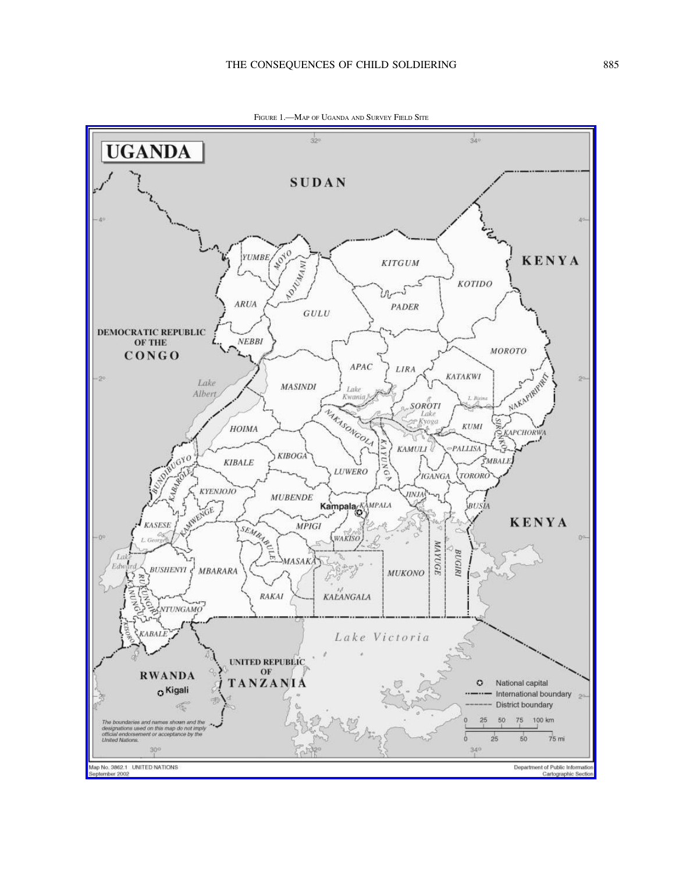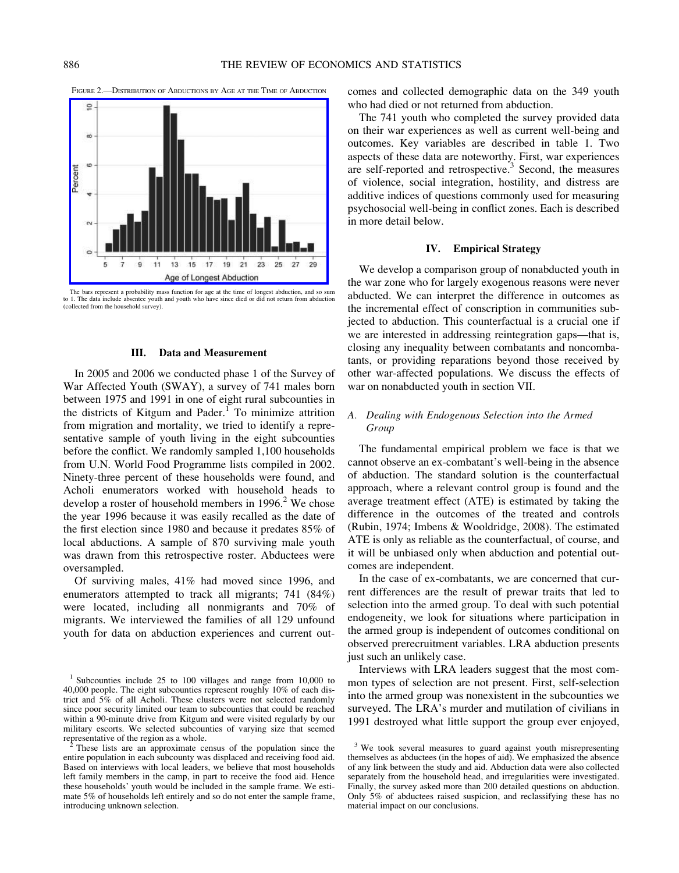FIGURE 2.—DISTRIBUTION OF ABDUCTIONS BY AGE AT THE TIME OF ABDUCTION



The bars represent a probability mass function for age at the time of longest abduction, and so sum to 1. The data include absentee youth and youth who have since died or did not return from abduction (collected from the household survey).

## III. Data and Measurement

In 2005 and 2006 we conducted phase 1 of the Survey of War Affected Youth (SWAY), a survey of 741 males born between 1975 and 1991 in one of eight rural subcounties in the districts of Kitgum and Pader.<sup>1</sup> To minimize attrition from migration and mortality, we tried to identify a representative sample of youth living in the eight subcounties before the conflict. We randomly sampled 1,100 households from U.N. World Food Programme lists compiled in 2002. Ninety-three percent of these households were found, and Acholi enumerators worked with household heads to develop a roster of household members in  $1996<sup>2</sup>$  We chose the year 1996 because it was easily recalled as the date of the first election since 1980 and because it predates 85% of local abductions. A sample of 870 surviving male youth was drawn from this retrospective roster. Abductees were oversampled.

Of surviving males, 41% had moved since 1996, and enumerators attempted to track all migrants; 741 (84%) were located, including all nonmigrants and 70% of migrants. We interviewed the families of all 129 unfound youth for data on abduction experiences and current outcomes and collected demographic data on the 349 youth who had died or not returned from abduction.

The 741 youth who completed the survey provided data on their war experiences as well as current well-being and outcomes. Key variables are described in table 1. Two aspects of these data are noteworthy. First, war experiences are self-reported and retrospective.<sup>3</sup> Second, the measures of violence, social integration, hostility, and distress are additive indices of questions commonly used for measuring psychosocial well-being in conflict zones. Each is described in more detail below.

### IV. Empirical Strategy

We develop a comparison group of nonabducted youth in the war zone who for largely exogenous reasons were never abducted. We can interpret the difference in outcomes as the incremental effect of conscription in communities subjected to abduction. This counterfactual is a crucial one if we are interested in addressing reintegration gaps—that is, closing any inequality between combatants and noncombatants, or providing reparations beyond those received by other war-affected populations. We discuss the effects of war on nonabducted youth in section VII.

# A. Dealing with Endogenous Selection into the Armed **Group**

The fundamental empirical problem we face is that we cannot observe an ex-combatant's well-being in the absence of abduction. The standard solution is the counterfactual approach, where a relevant control group is found and the average treatment effect (ATE) is estimated by taking the difference in the outcomes of the treated and controls (Rubin, 1974; Imbens & Wooldridge, 2008). The estimated ATE is only as reliable as the counterfactual, of course, and it will be unbiased only when abduction and potential outcomes are independent.

In the case of ex-combatants, we are concerned that current differences are the result of prewar traits that led to selection into the armed group. To deal with such potential endogeneity, we look for situations where participation in the armed group is independent of outcomes conditional on observed prerecruitment variables. LRA abduction presents just such an unlikely case.

Interviews with LRA leaders suggest that the most common types of selection are not present. First, self-selection into the armed group was nonexistent in the subcounties we surveyed. The LRA's murder and mutilation of civilians in 1991 destroyed what little support the group ever enjoyed,

 $1$  Subcounties include 25 to 100 villages and range from 10,000 to 40,000 people. The eight subcounties represent roughly 10% of each district and 5% of all Acholi. These clusters were not selected randomly since poor security limited our team to subcounties that could be reached within a 90-minute drive from Kitgum and were visited regularly by our military escorts. We selected subcounties of varying size that seemed

representative of the region as a whole. <sup>2</sup> These lists are an approximate census of the population since the entire population in each subcounty was displaced and receiving food aid. Based on interviews with local leaders, we believe that most households left family members in the camp, in part to receive the food aid. Hence these households' youth would be included in the sample frame. We estimate 5% of households left entirely and so do not enter the sample frame, introducing unknown selection.

<sup>&</sup>lt;sup>3</sup> We took several measures to guard against youth misrepresenting themselves as abductees (in the hopes of aid). We emphasized the absence of any link between the study and aid. Abduction data were also collected separately from the household head, and irregularities were investigated. Finally, the survey asked more than 200 detailed questions on abduction. Only 5% of abductees raised suspicion, and reclassifying these has no material impact on our conclusions.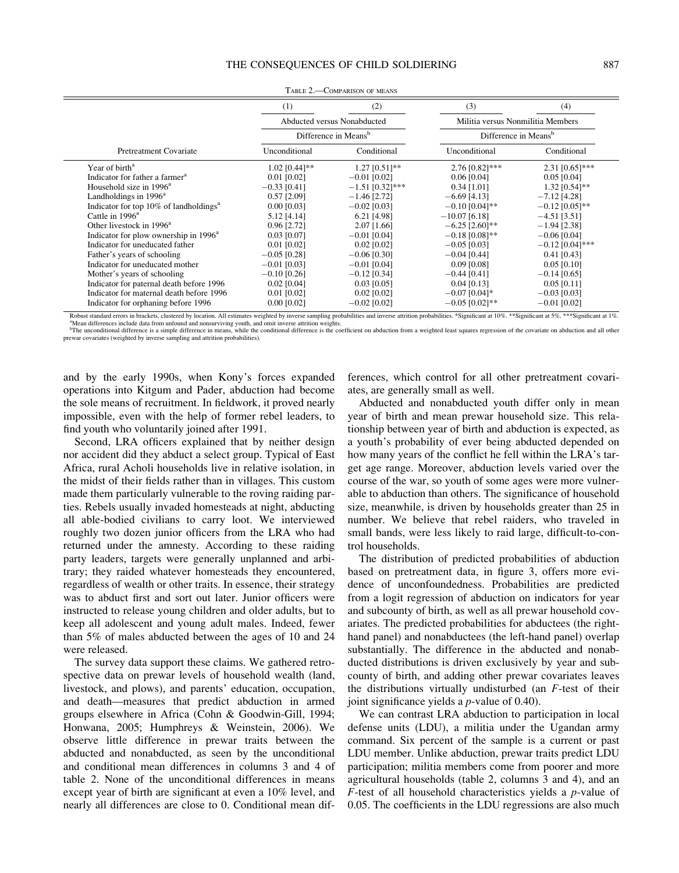|                                                    | (1)                         | (2)                              | (3)                               | (4)                              |
|----------------------------------------------------|-----------------------------|----------------------------------|-----------------------------------|----------------------------------|
|                                                    | Abducted versus Nonabducted |                                  | Militia versus Nonmilitia Members |                                  |
|                                                    |                             | Difference in Means <sup>b</sup> |                                   | Difference in Means <sup>b</sup> |
| <b>Pretreatment Covariate</b>                      | Unconditional               | Conditional                      | Unconditional                     | Conditional                      |
| Year of birth <sup>a</sup>                         | $1.02$ [0.44]**             | $1.27$ [0.51]**                  | $2.76$ [0.82]***                  | $2.31$ [0.65]***                 |
| Indicator for father a farmer <sup>a</sup>         | $0.01$ [0.02]               | $-0.01$ [0.02]                   | $0.06$ [0.04]                     | $0.05$ [0.04]                    |
| Household size in 1996 <sup>a</sup>                | $-0.33$ [0.41]              | $-1.51$ [0.32]***                | $0.34$ [1.01]                     | $1.32$ [0.54]**                  |
| Landholdings in $1996^a$                           | $0.57$ [2.09]               | $-1.46$ [2.72]                   | $-6.69$ [4.13]                    | $-7.12$ [4.28]                   |
| Indicator for top 10% of landholdings <sup>a</sup> | $0.00$ [0.03]               | $-0.02$ [0.03]                   | $-0.10$ [0.04]**                  | $-0.12$ [0.05]**                 |
| Cattle in 1996 <sup>a</sup>                        | 5.12 [4.14]                 | 6.21 [4.98]                      | $-10.07$ [6.18]                   | $-4.51$ [3.51]                   |
| Other livestock in 1996 <sup>a</sup>               | $0.96$ [2.72]               | $2.07$ [1.66]                    | $-6.25$ [2.60]**                  | $-1.94$ [2.38]                   |
| Indicator for plow ownership in 1996 <sup>a</sup>  | $0.03$ [0.07]               | $-0.01$ [0.04]                   | $-0.18$ [0.08]**                  | $-0.06$ [0.04]                   |
| Indicator for uneducated father                    | $0.01$ [0.02]               | $0.02$ [0.02]                    | $-0.05$ [0.03]                    | $-0.12$ [0.04]***                |
| Father's years of schooling                        | $-0.05$ [0.28]              | $-0.06$ [0.30]                   | $-0.04$ [0.44]                    | $0.41$ [0.43]                    |
| Indicator for uneducated mother                    | $-0.01$ [0.03]              | $-0.01$ [0.04]                   | $0.09$ [0.08]                     | $0.05$ [0.10]                    |
| Mother's years of schooling                        | $-0.10$ [0.26]              | $-0.12$ [0.34]                   | $-0.44$ [0.41]                    | $-0.14$ [0.65]                   |
| Indicator for paternal death before 1996           | $0.02$ [0.04]               | $0.03$ [0.05]                    | $0.04$ [0.13]                     | $0.05$ [0.11]                    |
| Indicator for maternal death before 1996           | $0.01$ [0.02]               | $0.02$ [0.02]                    | $-0.07$ [0.04]*                   | $-0.03$ [0.03]                   |
| Indicator for orphaning before 1996                | $0.00$ [0.02]               | $-0.02$ [0.02]                   | $-0.05$ [0.02]**                  | $-0.01$ [0.02]                   |

TABLE 2.—COMPARISON OF MEANS

Robust standard errors in brackets, clustered by location. All estimates weighted by inverse sampling probabilities and inverse attrition probabilities. \*Significant at 10%. \*\*Significant at 5%. \*\*\*Significant at 1%. <sup>a</sup>Mean differences include data from unfound and nonsurviving youth, and omit inverse attrition weights.

<sup>b</sup>The unconditional difference is a simple difference in means, while the conditional difference is the coefficient on abduction from a weighted least squares regression of the covariate on abduction and all other prewar covariates (weighted by inverse sampling and attrition probabilities).

and by the early 1990s, when Kony's forces expanded operations into Kitgum and Pader, abduction had become the sole means of recruitment. In fieldwork, it proved nearly impossible, even with the help of former rebel leaders, to find youth who voluntarily joined after 1991.

Second, LRA officers explained that by neither design nor accident did they abduct a select group. Typical of East Africa, rural Acholi households live in relative isolation, in the midst of their fields rather than in villages. This custom made them particularly vulnerable to the roving raiding parties. Rebels usually invaded homesteads at night, abducting all able-bodied civilians to carry loot. We interviewed roughly two dozen junior officers from the LRA who had returned under the amnesty. According to these raiding party leaders, targets were generally unplanned and arbitrary; they raided whatever homesteads they encountered, regardless of wealth or other traits. In essence, their strategy was to abduct first and sort out later. Junior officers were instructed to release young children and older adults, but to keep all adolescent and young adult males. Indeed, fewer than 5% of males abducted between the ages of 10 and 24 were released.

The survey data support these claims. We gathered retrospective data on prewar levels of household wealth (land, livestock, and plows), and parents' education, occupation, and death—measures that predict abduction in armed groups elsewhere in Africa (Cohn & Goodwin-Gill, 1994; Honwana, 2005; Humphreys & Weinstein, 2006). We observe little difference in prewar traits between the abducted and nonabducted, as seen by the unconditional and conditional mean differences in columns 3 and 4 of table 2. None of the unconditional differences in means except year of birth are significant at even a 10% level, and nearly all differences are close to 0. Conditional mean differences, which control for all other pretreatment covariates, are generally small as well.

Abducted and nonabducted youth differ only in mean year of birth and mean prewar household size. This relationship between year of birth and abduction is expected, as a youth's probability of ever being abducted depended on how many years of the conflict he fell within the LRA's target age range. Moreover, abduction levels varied over the course of the war, so youth of some ages were more vulnerable to abduction than others. The significance of household size, meanwhile, is driven by households greater than 25 in number. We believe that rebel raiders, who traveled in small bands, were less likely to raid large, difficult-to-control households.

The distribution of predicted probabilities of abduction based on pretreatment data, in figure 3, offers more evidence of unconfoundedness. Probabilities are predicted from a logit regression of abduction on indicators for year and subcounty of birth, as well as all prewar household covariates. The predicted probabilities for abductees (the righthand panel) and nonabductees (the left-hand panel) overlap substantially. The difference in the abducted and nonabducted distributions is driven exclusively by year and subcounty of birth, and adding other prewar covariates leaves the distributions virtually undisturbed (an F-test of their joint significance yields a p-value of 0.40).

We can contrast LRA abduction to participation in local defense units (LDU), a militia under the Ugandan army command. Six percent of the sample is a current or past LDU member. Unlike abduction, prewar traits predict LDU participation; militia members come from poorer and more agricultural households (table 2, columns 3 and 4), and an  $F$ -test of all household characteristics yields a  $p$ -value of 0.05. The coefficients in the LDU regressions are also much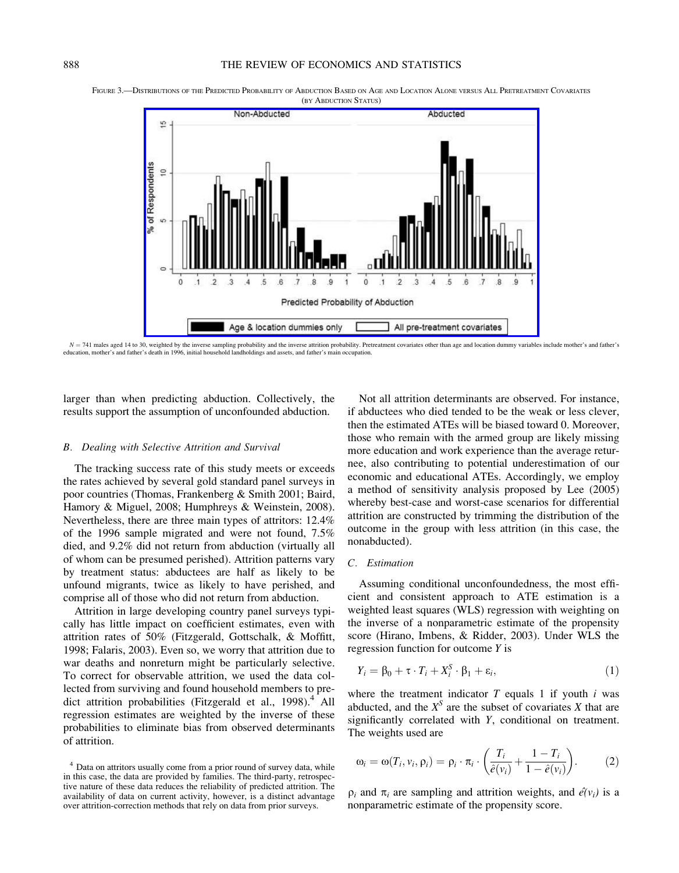

FIGURE 3.—DISTRIBUTIONS OF THE PREDICTED PROBABILITY OF ABDUCTION BASED ON AGE AND LOCATION ALONE VERSUS ALL PRETREATMENT COVARIATES (BY ABDUCTION STATUS)

 $N = 741$  males aged 14 to 30, weighted by the inverse sampling probability and the inverse attrition probability. Pretreatment covariates other than age and location dummy variables include mother's and father's education, mother's and father's death in 1996, initial household landholdings and assets, and father's main occupation.

larger than when predicting abduction. Collectively, the results support the assumption of unconfounded abduction.

#### B. Dealing with Selective Attrition and Survival

The tracking success rate of this study meets or exceeds the rates achieved by several gold standard panel surveys in poor countries (Thomas, Frankenberg & Smith 2001; Baird, Hamory & Miguel, 2008; Humphreys & Weinstein, 2008). Nevertheless, there are three main types of attritors: 12.4% of the 1996 sample migrated and were not found, 7.5% died, and 9.2% did not return from abduction (virtually all of whom can be presumed perished). Attrition patterns vary by treatment status: abductees are half as likely to be unfound migrants, twice as likely to have perished, and comprise all of those who did not return from abduction.

Attrition in large developing country panel surveys typically has little impact on coefficient estimates, even with attrition rates of 50% (Fitzgerald, Gottschalk, & Moffitt, 1998; Falaris, 2003). Even so, we worry that attrition due to war deaths and nonreturn might be particularly selective. To correct for observable attrition, we used the data collected from surviving and found household members to predict attrition probabilities (Fitzgerald et al., 1998). $4$  All regression estimates are weighted by the inverse of these probabilities to eliminate bias from observed determinants of attrition.

Not all attrition determinants are observed. For instance, if abductees who died tended to be the weak or less clever, then the estimated ATEs will be biased toward 0. Moreover, those who remain with the armed group are likely missing more education and work experience than the average returnee, also contributing to potential underestimation of our economic and educational ATEs. Accordingly, we employ a method of sensitivity analysis proposed by Lee (2005) whereby best-case and worst-case scenarios for differential attrition are constructed by trimming the distribution of the outcome in the group with less attrition (in this case, the nonabducted).

#### C. Estimation

Assuming conditional unconfoundedness, the most efficient and consistent approach to ATE estimation is a weighted least squares (WLS) regression with weighting on the inverse of a nonparametric estimate of the propensity score (Hirano, Imbens, & Ridder, 2003). Under WLS the regression function for outcome Y is

$$
Y_i = \beta_0 + \tau \cdot T_i + X_i^S \cdot \beta_1 + \varepsilon_i, \tag{1}
$$

where the treatment indicator  $T$  equals 1 if youth  $i$  was abducted, and the  $X<sup>S</sup>$  are the subset of covariates X that are significantly correlated with Y, conditional on treatment. The weights used are

$$
\omega_i = \omega(T_i, v_i, \rho_i) = \rho_i \cdot \pi_i \cdot \left(\frac{T_i}{\hat{e}(v_i)} + \frac{1 - T_i}{1 - \hat{e}(v_i)}\right). \tag{2}
$$

 $\rho_i$  and  $\pi_i$  are sampling and attrition weights, and  $\hat{e}(v_i)$  is a nonparametric estimate of the propensity score.

<sup>&</sup>lt;sup>4</sup> Data on attritors usually come from a prior round of survey data, while in this case, the data are provided by families. The third-party, retrospective nature of these data reduces the reliability of predicted attrition. The availability of data on current activity, however, is a distinct advantage over attrition-correction methods that rely on data from prior surveys.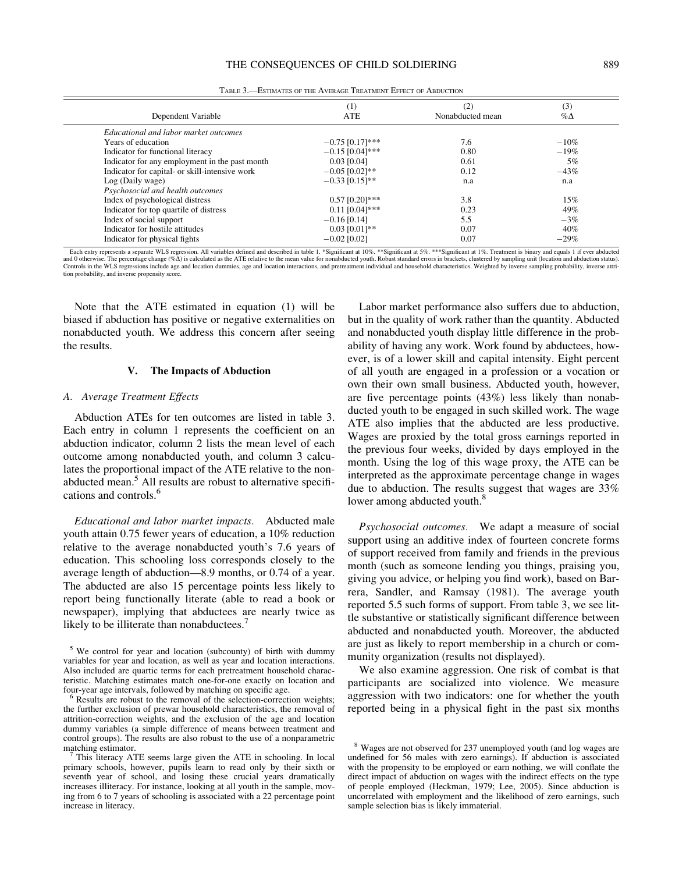| TABLE 3.—ESTIMATES OF THE AVERAGE TREATMENT EFFECT OF ABDUCTION |  |  |
|-----------------------------------------------------------------|--|--|
|-----------------------------------------------------------------|--|--|

| Dependent Variable                             | (1)<br>ATE        | (2)<br>Nonabducted mean | (3)<br>$\% \Delta$ |
|------------------------------------------------|-------------------|-------------------------|--------------------|
| Educational and labor market outcomes          |                   |                         |                    |
| Years of education                             | $-0.75$ [0.17]*** | 7.6                     | $-10\%$            |
| Indicator for functional literacy              | $-0.15$ [0.04]*** | 0.80                    | $-19%$             |
| Indicator for any employment in the past month | $0.03$ [0.04]     | 0.61                    | 5%                 |
| Indicator for capital- or skill-intensive work | $-0.05$ [0.02]**  | 0.12                    | $-43%$             |
| Log (Daily wage)                               | $-0.33$ [0.15]**  | n.a                     | n.a                |
| Psychosocial and health outcomes               |                   |                         |                    |
| Index of psychological distress                | $0.57$ [0.20]***  | 3.8                     | 15%                |
| Indicator for top quartile of distress         | $0.11$ [0.04]***  | 0.23                    | 49%                |
| Index of social support                        | $-0.16$ [0.14]    | 5.5                     | $-3\%$             |
| Indicator for hostile attitudes                | $0.03$ [0.01]**   | 0.07                    | 40%                |
| Indicator for physical fights                  | $-0.02$ [0.02]    | 0.07                    | $-29%$             |

Each entry represents a separate WLS regression. All variables defined and described in table 1. \*Significant at 10%. \*\*Significant at 1%. Treatment is binary and equals 1 if ever abducted Each computer content as the ATE relative to the mean value for nonabducted youth. Robust standard errors in brackets, clustered by sampling unit (location and abduction status). Controls in the WLS regressions include age and location dummies, age and location interactions, and pretreatment individual and household characteristics. Weighted by inverse sampling probability, inverse attrition probability, and inverse propensity score.

Note that the ATE estimated in equation (1) will be biased if abduction has positive or negative externalities on nonabducted youth. We address this concern after seeing the results.

### V. The Impacts of Abduction

### A. Average Treatment Effects

Abduction ATEs for ten outcomes are listed in table 3. Each entry in column 1 represents the coefficient on an abduction indicator, column 2 lists the mean level of each outcome among nonabducted youth, and column 3 calculates the proportional impact of the ATE relative to the nonabducted mean.<sup>5</sup> All results are robust to alternative specifications and controls.<sup>6</sup>

Educational and labor market impacts. Abducted male youth attain 0.75 fewer years of education, a 10% reduction relative to the average nonabducted youth's 7.6 years of education. This schooling loss corresponds closely to the average length of abduction—8.9 months, or 0.74 of a year. The abducted are also 15 percentage points less likely to report being functionally literate (able to read a book or newspaper), implying that abductees are nearly twice as likely to be illiterate than nonabductees.<sup>7</sup>

Labor market performance also suffers due to abduction, but in the quality of work rather than the quantity. Abducted and nonabducted youth display little difference in the probability of having any work. Work found by abductees, however, is of a lower skill and capital intensity. Eight percent of all youth are engaged in a profession or a vocation or own their own small business. Abducted youth, however, are five percentage points (43%) less likely than nonabducted youth to be engaged in such skilled work. The wage ATE also implies that the abducted are less productive. Wages are proxied by the total gross earnings reported in the previous four weeks, divided by days employed in the month. Using the log of this wage proxy, the ATE can be interpreted as the approximate percentage change in wages due to abduction. The results suggest that wages are 33% lower among abducted youth.<sup>8</sup>

Psychosocial outcomes. We adapt a measure of social support using an additive index of fourteen concrete forms of support received from family and friends in the previous month (such as someone lending you things, praising you, giving you advice, or helping you find work), based on Barrera, Sandler, and Ramsay (1981). The average youth reported 5.5 such forms of support. From table 3, we see little substantive or statistically significant difference between abducted and nonabducted youth. Moreover, the abducted are just as likely to report membership in a church or community organization (results not displayed).

We also examine aggression. One risk of combat is that participants are socialized into violence. We measure aggression with two indicators: one for whether the youth reported being in a physical fight in the past six months

<sup>&</sup>lt;sup>5</sup> We control for year and location (subcounty) of birth with dummy variables for year and location, as well as year and location interactions. Also included are quartic terms for each pretreatment household characteristic. Matching estimates match one-for-one exactly on location and four-year age intervals, followed by matching on specific age.

Results are robust to the removal of the selection-correction weights; the further exclusion of prewar household characteristics, the removal of attrition-correction weights, and the exclusion of the age and location dummy variables (a simple difference of means between treatment and control groups). The results are also robust to the use of a nonparametric

This literacy ATE seems large given the ATE in schooling. In local primary schools, however, pupils learn to read only by their sixth or seventh year of school, and losing these crucial years dramatically increases illiteracy. For instance, looking at all youth in the sample, moving from 6 to 7 years of schooling is associated with a 22 percentage point increase in literacy.

<sup>8</sup> Wages are not observed for 237 unemployed youth (and log wages are undefined for 56 males with zero earnings). If abduction is associated with the propensity to be employed or earn nothing, we will conflate the direct impact of abduction on wages with the indirect effects on the type of people employed (Heckman, 1979; Lee, 2005). Since abduction is uncorrelated with employment and the likelihood of zero earnings, such sample selection bias is likely immaterial.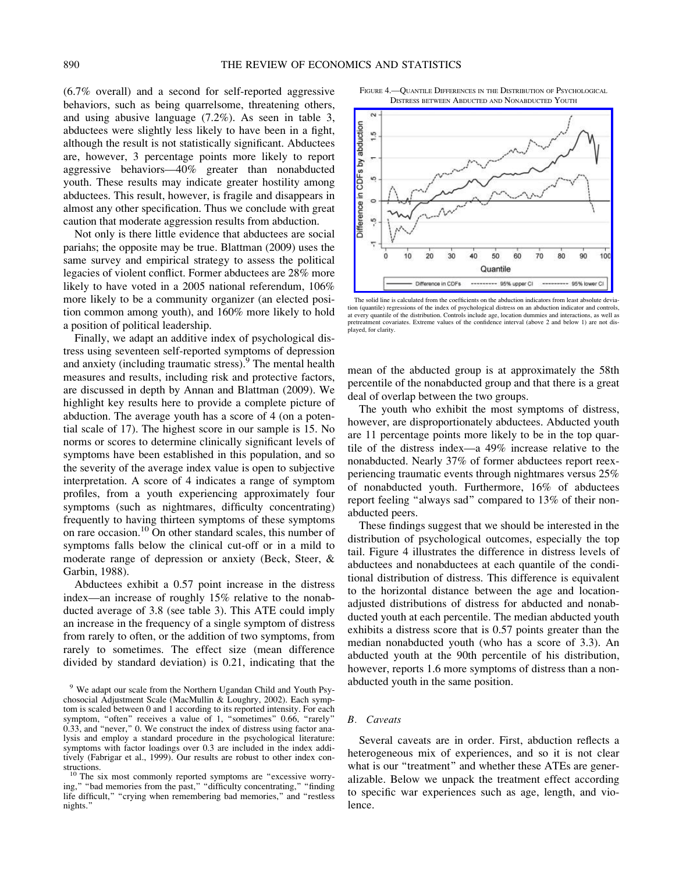(6.7% overall) and a second for self-reported aggressive behaviors, such as being quarrelsome, threatening others, and using abusive language (7.2%). As seen in table 3, abductees were slightly less likely to have been in a fight, although the result is not statistically significant. Abductees are, however, 3 percentage points more likely to report aggressive behaviors—40% greater than nonabducted youth. These results may indicate greater hostility among abductees. This result, however, is fragile and disappears in almost any other specification. Thus we conclude with great caution that moderate aggression results from abduction.

Not only is there little evidence that abductees are social pariahs; the opposite may be true. Blattman (2009) uses the same survey and empirical strategy to assess the political legacies of violent conflict. Former abductees are 28% more likely to have voted in a 2005 national referendum, 106% more likely to be a community organizer (an elected position common among youth), and 160% more likely to hold a position of political leadership.

Finally, we adapt an additive index of psychological distress using seventeen self-reported symptoms of depression and anxiety (including traumatic stress).<sup>9</sup> The mental health measures and results, including risk and protective factors, are discussed in depth by Annan and Blattman (2009). We highlight key results here to provide a complete picture of abduction. The average youth has a score of 4 (on a potential scale of 17). The highest score in our sample is 15. No norms or scores to determine clinically significant levels of symptoms have been established in this population, and so the severity of the average index value is open to subjective interpretation. A score of 4 indicates a range of symptom profiles, from a youth experiencing approximately four symptoms (such as nightmares, difficulty concentrating) frequently to having thirteen symptoms of these symptoms on rare occasion.10 On other standard scales, this number of symptoms falls below the clinical cut-off or in a mild to moderate range of depression or anxiety (Beck, Steer, & Garbin, 1988).

Abductees exhibit a 0.57 point increase in the distress index—an increase of roughly 15% relative to the nonabducted average of 3.8 (see table 3). This ATE could imply an increase in the frequency of a single symptom of distress from rarely to often, or the addition of two symptoms, from rarely to sometimes. The effect size (mean difference divided by standard deviation) is 0.21, indicating that the

FIGURE 4.—QUANTILE DIFFERENCES IN THE DISTRIBUTION OF PSYCHOLOGICAL DISTRESS BETWEEN ABDUCTED AND NONABDUCTED YOUTH



The solid line is calculated from the coefficients on the abduction indicators from least absolute deviation (quantile) regressions of the index of psychological distress on an abduction indicator and controls, at every quantile of the distribution. Controls include age, location dummies and interactions, as well as pretreatment covariates. Extreme values of the confidence interval (above 2 and below 1) are not displayed, for clarity.

mean of the abducted group is at approximately the 58th percentile of the nonabducted group and that there is a great deal of overlap between the two groups.

The youth who exhibit the most symptoms of distress, however, are disproportionately abductees. Abducted youth are 11 percentage points more likely to be in the top quartile of the distress index—a 49% increase relative to the nonabducted. Nearly 37% of former abductees report reexperiencing traumatic events through nightmares versus 25% of nonabducted youth. Furthermore, 16% of abductees report feeling "always sad" compared to 13% of their nonabducted peers.

These findings suggest that we should be interested in the distribution of psychological outcomes, especially the top tail. Figure 4 illustrates the difference in distress levels of abductees and nonabductees at each quantile of the conditional distribution of distress. This difference is equivalent to the horizontal distance between the age and locationadjusted distributions of distress for abducted and nonabducted youth at each percentile. The median abducted youth exhibits a distress score that is 0.57 points greater than the median nonabducted youth (who has a score of 3.3). An abducted youth at the 90th percentile of his distribution, however, reports 1.6 more symptoms of distress than a nonabducted youth in the same position.

### B. Caveats

Several caveats are in order. First, abduction reflects a heterogeneous mix of experiences, and so it is not clear what is our "treatment" and whether these ATEs are generalizable. Below we unpack the treatment effect according to specific war experiences such as age, length, and violence.

<sup>9</sup> We adapt our scale from the Northern Ugandan Child and Youth Psychosocial Adjustment Scale (MacMullin & Loughry, 2002). Each symptom is scaled between 0 and 1 according to its reported intensity. For each symptom, "often" receives a value of 1, "sometimes" 0.66, "rarely" 0.33, and ''never,'' 0. We construct the index of distress using factor analysis and employ a standard procedure in the psychological literature: symptoms with factor loadings over 0.3 are included in the index additively (Fabrigar et al., 1999). Our results are robust to other index con-

 $10$  The six most commonly reported symptoms are "excessive worrying," "bad memories from the past," "difficulty concentrating," "finding life difficult," "crying when remembering bad memories," and "restless nights.''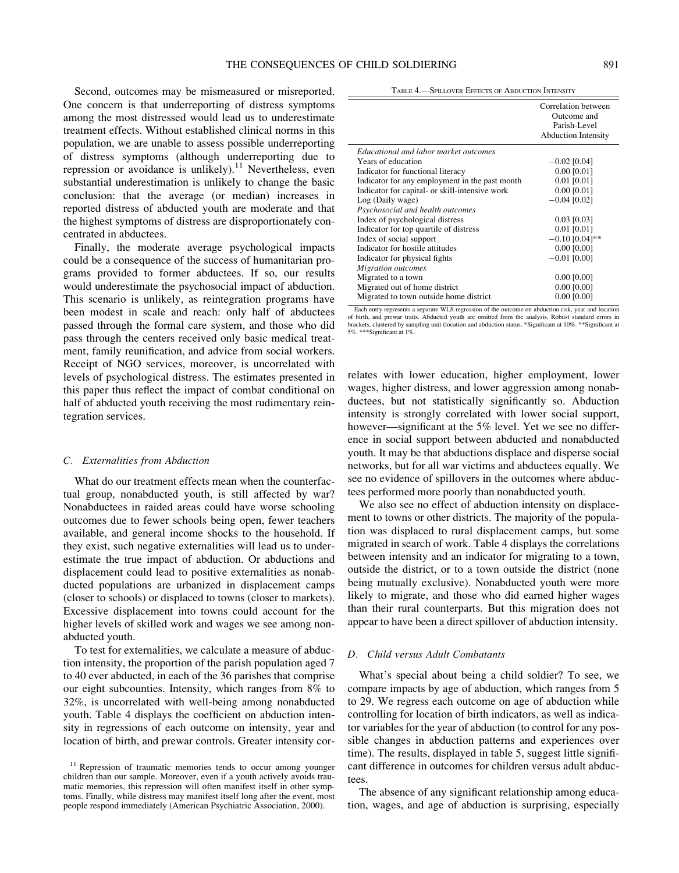Second, outcomes may be mismeasured or misreported. One concern is that underreporting of distress symptoms among the most distressed would lead us to underestimate treatment effects. Without established clinical norms in this population, we are unable to assess possible underreporting of distress symptoms (although underreporting due to repression or avoidance is unlikely). $11$  Nevertheless, even substantial underestimation is unlikely to change the basic conclusion: that the average (or median) increases in reported distress of abducted youth are moderate and that the highest symptoms of distress are disproportionately concentrated in abductees.

Finally, the moderate average psychological impacts could be a consequence of the success of humanitarian programs provided to former abductees. If so, our results would underestimate the psychosocial impact of abduction. This scenario is unlikely, as reintegration programs have been modest in scale and reach: only half of abductees passed through the formal care system, and those who did pass through the centers received only basic medical treatment, family reunification, and advice from social workers. Receipt of NGO services, moreover, is uncorrelated with levels of psychological distress. The estimates presented in this paper thus reflect the impact of combat conditional on half of abducted youth receiving the most rudimentary reintegration services.

### C. Externalities from Abduction

What do our treatment effects mean when the counterfactual group, nonabducted youth, is still affected by war? Nonabductees in raided areas could have worse schooling outcomes due to fewer schools being open, fewer teachers available, and general income shocks to the household. If they exist, such negative externalities will lead us to underestimate the true impact of abduction. Or abductions and displacement could lead to positive externalities as nonabducted populations are urbanized in displacement camps (closer to schools) or displaced to towns (closer to markets). Excessive displacement into towns could account for the higher levels of skilled work and wages we see among nonabducted youth.

To test for externalities, we calculate a measure of abduction intensity, the proportion of the parish population aged 7 to 40 ever abducted, in each of the 36 parishes that comprise our eight subcounties. Intensity, which ranges from 8% to 32%, is uncorrelated with well-being among nonabducted youth. Table 4 displays the coefficient on abduction intensity in regressions of each outcome on intensity, year and location of birth, and prewar controls. Greater intensity cor-

|                                                | Correlation between<br>Outcome and<br>Parish-Level<br><b>Abduction Intensity</b> |
|------------------------------------------------|----------------------------------------------------------------------------------|
| Educational and labor market outcomes          |                                                                                  |
| Years of education                             | $-0.02$ [0.04]                                                                   |
| Indicator for functional literacy              | $0.00$ [0.01]                                                                    |
| Indicator for any employment in the past month | $0.01$ [0.01]                                                                    |
| Indicator for capital- or skill-intensive work | $0.00$ [0.01]                                                                    |
| Log (Daily wage)                               | $-0.04$ [0.02]                                                                   |
| Psychosocial and health outcomes               |                                                                                  |
| Index of psychological distress                | $0.03$ [0.03]                                                                    |
| Indicator for top quartile of distress         | $0.01$ [0.01]                                                                    |
| Index of social support                        | $-0.10$ [0.04]**                                                                 |
| Indicator for hostile attitudes                | $0.00$ [0.00]                                                                    |
| Indicator for physical fights                  | $-0.01$ [0.00]                                                                   |
| <b>Migration</b> outcomes                      |                                                                                  |
| Migrated to a town                             | $0.00$ [0.00]                                                                    |
| Migrated out of home district.                 | $0.00$ [0.00]                                                                    |
| Migrated to town outside home district.        | $0.00$ [0.00]                                                                    |

Each entry represents a separate WLS regression of the outcome on abduction risk, year and location of birth, and prewar traits. Abducted youth are omitted from the analysis. Robust standard errors in brackets, clustered by sampling unit (location and abduction status. \*Significant at 10%. \*\*Significant at 5%. \*\*\*Significant at 1%.

relates with lower education, higher employment, lower wages, higher distress, and lower aggression among nonabductees, but not statistically significantly so. Abduction intensity is strongly correlated with lower social support, however—significant at the 5% level. Yet we see no difference in social support between abducted and nonabducted youth. It may be that abductions displace and disperse social networks, but for all war victims and abductees equally. We see no evidence of spillovers in the outcomes where abductees performed more poorly than nonabducted youth.

We also see no effect of abduction intensity on displacement to towns or other districts. The majority of the population was displaced to rural displacement camps, but some migrated in search of work. Table 4 displays the correlations between intensity and an indicator for migrating to a town, outside the district, or to a town outside the district (none being mutually exclusive). Nonabducted youth were more likely to migrate, and those who did earned higher wages than their rural counterparts. But this migration does not appear to have been a direct spillover of abduction intensity.

### D. Child versus Adult Combatants

What's special about being a child soldier? To see, we compare impacts by age of abduction, which ranges from 5 to 29. We regress each outcome on age of abduction while controlling for location of birth indicators, as well as indicator variables for the year of abduction (to control for any possible changes in abduction patterns and experiences over time). The results, displayed in table 5, suggest little significant difference in outcomes for children versus adult abductees.

The absence of any significant relationship among education, wages, and age of abduction is surprising, especially

<sup>&</sup>lt;sup>11</sup> Repression of traumatic memories tends to occur among younger children than our sample. Moreover, even if a youth actively avoids traumatic memories, this repression will often manifest itself in other symptoms. Finally, while distress may manifest itself long after the event, most people respond immediately (American Psychiatric Association, 2000).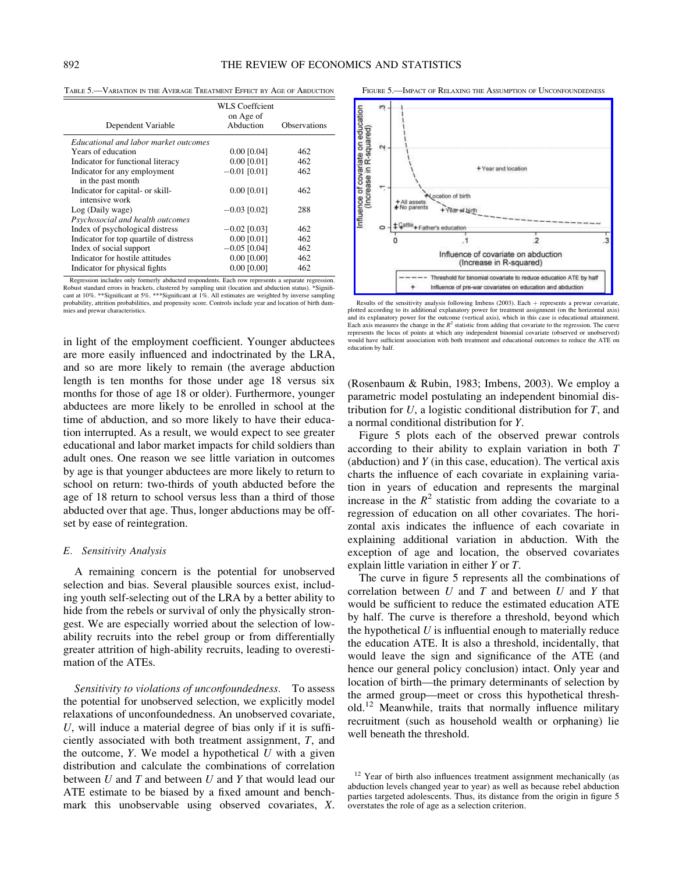TABLE 5.—VARIATION IN THE AVERAGE TREATMENT EFFECT BY AGE OF ABDUCTION

|                                                    | WLS Coeffcient<br>on Age of |                     |
|----------------------------------------------------|-----------------------------|---------------------|
| Dependent Variable                                 | Abduction                   | <b>Observations</b> |
| Educational and labor market outcomes              |                             |                     |
| Years of education                                 | $0.00$ [0.04]               | 462                 |
| Indicator for functional literacy                  | $0.00$ [0.01]               | 462                 |
| Indicator for any employment                       | $-0.01$ [0.01]              | 462                 |
| in the past month                                  |                             |                     |
| Indicator for capital- or skill-<br>intensive work | $0.00$ [0.01]               | 462                 |
| Log (Daily wage)                                   | $-0.03$ [0.02]              | 288                 |
| Psychosocial and health outcomes                   |                             |                     |
| Index of psychological distress                    | $-0.02$ [0.03]              | 462                 |
| Indicator for top quartile of distress             | $0.00$ [0.01]               | 462                 |
| Index of social support                            | $-0.05$ [0.04]              | 462                 |
| Indicator for hostile attitudes                    | $0.00$ [0.00]               | 462                 |
| Indicator for physical fights                      | $0.00$ [0.00]               | 462                 |

Regression includes only formerly abducted respondents. Each row represents a separate regression. Robust standard errors in brackets, clustered by sampling unit (location and abduction status). \*Signifi-cant at 10%. \*\*Significant at 5%. \*\*\*Significant at 1%. All estimates are weighted by inverse sampling probability, attrition probabilities, and propensity score. Controls include year and location of birth dummies and prewar characteristics.

in light of the employment coefficient. Younger abductees are more easily influenced and indoctrinated by the LRA, and so are more likely to remain (the average abduction length is ten months for those under age 18 versus six months for those of age 18 or older). Furthermore, younger abductees are more likely to be enrolled in school at the time of abduction, and so more likely to have their education interrupted. As a result, we would expect to see greater educational and labor market impacts for child soldiers than adult ones. One reason we see little variation in outcomes by age is that younger abductees are more likely to return to school on return: two-thirds of youth abducted before the age of 18 return to school versus less than a third of those abducted over that age. Thus, longer abductions may be offset by ease of reintegration.

### E. Sensitivity Analysis

A remaining concern is the potential for unobserved selection and bias. Several plausible sources exist, including youth self-selecting out of the LRA by a better ability to hide from the rebels or survival of only the physically strongest. We are especially worried about the selection of lowability recruits into the rebel group or from differentially greater attrition of high-ability recruits, leading to overestimation of the ATEs.

Sensitivity to violations of unconfoundedness. To assess the potential for unobserved selection, we explicitly model relaxations of unconfoundedness. An unobserved covariate, U, will induce a material degree of bias only if it is sufficiently associated with both treatment assignment, T, and the outcome, Y. We model a hypothetical  $U$  with a given distribution and calculate the combinations of correlation between  $U$  and  $T$  and between  $U$  and  $Y$  that would lead our ATE estimate to be biased by a fixed amount and benchmark this unobservable using observed covariates, X.

FIGURE 5. <u>—IMPACT OF RELAXING THE ASSUMPTION OF UNCONFOUNDEDNESS</u>



Results of the sensitivity analysis following Imbens (2003). Each  $+$  represents a prewar covariate, plotted according to its additional explanatory power for treatment assignment (on the horizontal axis) and its explanatory power for the outcome (vertical axis), which in this case is educational attainment. Each axis measures the change in the  $R^2$  statistic from adding that covariate to the regression. The curve represents the locus of points at which any independent binomial covariate (observed or unobserved) would have sufficient association with both treatment and educational outcomes to reduce the ATE on education by half.

(Rosenbaum & Rubin, 1983; Imbens, 2003). We employ a parametric model postulating an independent binomial distribution for  $U$ , a logistic conditional distribution for  $T$ , and a normal conditional distribution for Y.

Figure 5 plots each of the observed prewar controls according to their ability to explain variation in both T (abduction) and  $Y$  (in this case, education). The vertical axis charts the influence of each covariate in explaining variation in years of education and represents the marginal increase in the  $R^2$  statistic from adding the covariate to a regression of education on all other covariates. The horizontal axis indicates the influence of each covariate in explaining additional variation in abduction. With the exception of age and location, the observed covariates explain little variation in either Y or T.

The curve in figure 5 represents all the combinations of correlation between  $U$  and  $T$  and between  $U$  and  $Y$  that would be sufficient to reduce the estimated education ATE by half. The curve is therefore a threshold, beyond which the hypothetical  $U$  is influential enough to materially reduce the education ATE. It is also a threshold, incidentally, that would leave the sign and significance of the ATE (and hence our general policy conclusion) intact. Only year and location of birth—the primary determinants of selection by the armed group—meet or cross this hypothetical threshold.<sup>12</sup> Meanwhile, traits that normally influence military recruitment (such as household wealth or orphaning) lie well beneath the threshold.

 $12$  Year of birth also influences treatment assignment mechanically (as abduction levels changed year to year) as well as because rebel abduction parties targeted adolescents. Thus, its distance from the origin in figure 5 overstates the role of age as a selection criterion.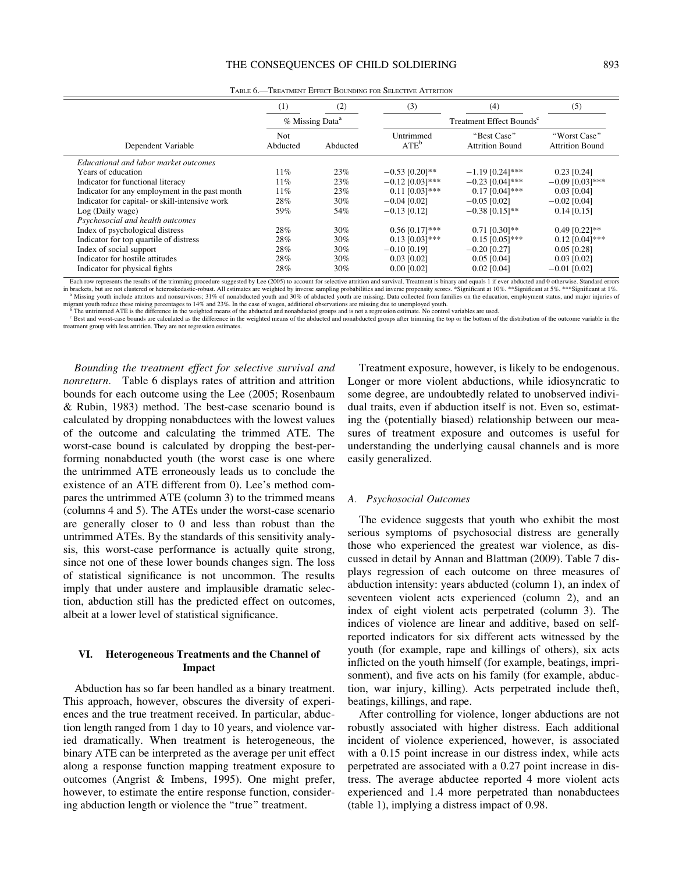|                                                | (1)                    | (2)                         | (3)                           | (4)                                   | (5)                                    |
|------------------------------------------------|------------------------|-----------------------------|-------------------------------|---------------------------------------|----------------------------------------|
|                                                |                        | % Missing Data <sup>a</sup> |                               | Treatment Effect Bounds <sup>c</sup>  |                                        |
| Dependent Variable                             | <b>Not</b><br>Abducted | Abducted                    | Untrimmed<br>ATE <sup>b</sup> | "Best Case"<br><b>Attrition Bound</b> | "Worst Case"<br><b>Attrition Bound</b> |
| Educational and labor market outcomes          |                        |                             |                               |                                       |                                        |
| Years of education                             | 11%                    | 23%                         | $-0.53$ [0.20]**              | $-1.19$ [0.24]***                     | $0.23$ [0.24]                          |
| Indicator for functional literacy              | 11%                    | 23%                         | $-0.12$ [0.03]***             | $-0.23$ [0.04]***                     | $-0.09$ [0.03]***                      |
| Indicator for any employment in the past month | 11%                    | 23%                         | $0.11$ [0.03]***              | $0.17$ [0.04]***                      | $0.03$ [0.04]                          |
| Indicator for capital- or skill-intensive work | 28%                    | 30%                         | $-0.04$ [0.02]                | $-0.05$ [0.02]                        | $-0.02$ [0.04]                         |
| Log (Daily wage)                               | 59%                    | 54%                         | $-0.13$ [0.12]                | $-0.38$ [0.15]**                      | $0.14$ [0.15]                          |
| Psychosocial and health outcomes               |                        |                             |                               |                                       |                                        |
| Index of psychological distress                | 28%                    | 30%                         | $0.56$ [0.17]***              | $0.71$ [0.30]**                       | $0.49$ [0.22]**                        |
| Indicator for top quartile of distress         | 28%                    | 30%                         | $0.13$ [0.03]***              | $0.15$ [0.05]***                      | $0.12$ [0.04]***                       |
| Index of social support                        | 28%                    | 30%                         | $-0.10$ [0.19]                | $-0.20$ [0.27]                        | $0.05$ [0.28]                          |
| Indicator for hostile attitudes                | 28%                    | 30%                         | $0.03$ [0.02]                 | $0.05$ [0.04]                         | $0.03$ [0.02]                          |
| Indicator for physical fights                  | 28%                    | 30%                         | $0.00$ [0.02]                 | $0.02$ [0.04]                         | $-0.01$ [0.02]                         |

TABLE 6.—TREATMENT EFFECT BOUNDING FOR SELECTIVE ATTRITION

Each row represents the results of the trimming procedure suggested by Lee (2005) to account for selective attrition and survival. Treatment is binary and equals 1 if ever abducted and 0 otherwise. Standard errors in brack <sup>a</sup> Missing youth include attritors and nonsurvivors; 31% of nonabducted youth and 30% of abducted youth are missing. Data collected from families on the education, employment status, and major injuries of

migrant youth reduce these mising percentages to 14% and 23%. In the case of wages, additional observations are missing due to unemployed youth.<br><sup>b</sup> The untrimmed ATE is the difference in the weighted means of the abducted treatment group with less attrition. They are not regression estimates.

Bounding the treatment effect for selective survival and nonreturn. Table 6 displays rates of attrition and attrition bounds for each outcome using the Lee (2005; Rosenbaum & Rubin, 1983) method. The best-case scenario bound is calculated by dropping nonabductees with the lowest values of the outcome and calculating the trimmed ATE. The worst-case bound is calculated by dropping the best-performing nonabducted youth (the worst case is one where the untrimmed ATE erroneously leads us to conclude the existence of an ATE different from 0). Lee's method compares the untrimmed ATE (column 3) to the trimmed means (columns 4 and 5). The ATEs under the worst-case scenario are generally closer to 0 and less than robust than the untrimmed ATEs. By the standards of this sensitivity analysis, this worst-case performance is actually quite strong, since not one of these lower bounds changes sign. The loss of statistical significance is not uncommon. The results imply that under austere and implausible dramatic selection, abduction still has the predicted effect on outcomes, albeit at a lower level of statistical significance.

 $\equiv$ 

## VI. Heterogeneous Treatments and the Channel of Impact

Abduction has so far been handled as a binary treatment. This approach, however, obscures the diversity of experiences and the true treatment received. In particular, abduction length ranged from 1 day to 10 years, and violence varied dramatically. When treatment is heterogeneous, the binary ATE can be interpreted as the average per unit effect along a response function mapping treatment exposure to outcomes (Angrist & Imbens, 1995). One might prefer, however, to estimate the entire response function, considering abduction length or violence the ''true'' treatment.

Treatment exposure, however, is likely to be endogenous. Longer or more violent abductions, while idiosyncratic to some degree, are undoubtedly related to unobserved individual traits, even if abduction itself is not. Even so, estimating the (potentially biased) relationship between our measures of treatment exposure and outcomes is useful for understanding the underlying causal channels and is more easily generalized.

### A. Psychosocial Outcomes

The evidence suggests that youth who exhibit the most serious symptoms of psychosocial distress are generally those who experienced the greatest war violence, as discussed in detail by Annan and Blattman (2009). Table 7 displays regression of each outcome on three measures of abduction intensity: years abducted (column 1), an index of seventeen violent acts experienced (column 2), and an index of eight violent acts perpetrated (column 3). The indices of violence are linear and additive, based on selfreported indicators for six different acts witnessed by the youth (for example, rape and killings of others), six acts inflicted on the youth himself (for example, beatings, imprisonment), and five acts on his family (for example, abduction, war injury, killing). Acts perpetrated include theft, beatings, killings, and rape.

After controlling for violence, longer abductions are not robustly associated with higher distress. Each additional incident of violence experienced, however, is associated with a 0.15 point increase in our distress index, while acts perpetrated are associated with a 0.27 point increase in distress. The average abductee reported 4 more violent acts experienced and 1.4 more perpetrated than nonabductees (table 1), implying a distress impact of 0.98.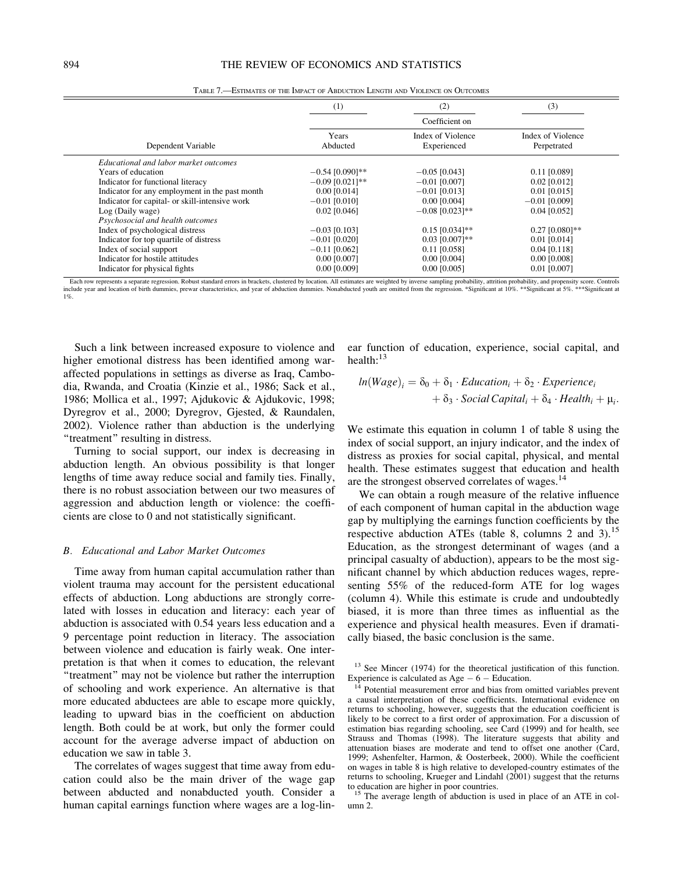|                                                | (1)               | (2)                              | (3)                              |
|------------------------------------------------|-------------------|----------------------------------|----------------------------------|
|                                                |                   | Coefficient on                   |                                  |
| Dependent Variable                             | Years<br>Abducted | Index of Violence<br>Experienced | Index of Violence<br>Perpetrated |
| Educational and labor market outcomes          |                   |                                  |                                  |
| Years of education                             | $-0.54$ [0.090]** | $-0.05$ [0.043]                  | $0.11$ [0.089]                   |
| Indicator for functional literacy              | $-0.09$ [0.021]** | $-0.01$ [0.007]                  | $0.02$ [0.012]                   |
| Indicator for any employment in the past month | $0.00$ [0.014]    | $-0.01$ [0.013]                  | $0.01$ [0.015]                   |
| Indicator for capital- or skill-intensive work | $-0.01$ [0.010]   | $0.00$ [0.004]                   | $-0.01$ [0.009]                  |
| Log (Daily wage)                               | $0.02$ [0.046]    | $-0.08$ [0.023]**                | $0.04$ [0.052]                   |
| Psychosocial and health outcomes               |                   |                                  |                                  |
| Index of psychological distress                | $-0.03$ [0.103]   | $0.15$ [0.034]**                 | $0.27$ [0.080]**                 |
| Indicator for top quartile of distress         | $-0.01$ [0.020]   | $0.03$ [0.007]**                 | $0.01$ [0.014]                   |
| Index of social support                        | $-0.11$ [0.062]   | $0.11$ [0.058]                   | $0.04$ [0.118]                   |
| Indicator for hostile attitudes                | $0.00$ [0.007]    | $0.00$ [0.004]                   | $0.00$ [0.008]                   |
| Indicator for physical fights                  | $0.00$ [0.009]    | $0.00$ [0.005]                   | $0.01$ [0.007]                   |

TABLE 7.—ESTIMATES OF THE IMPACT OF ABDUCTION LENGTH AND VIOLENCE ON OUTCOMES

Each row represents a separate regression. Robust standard errors in brackets, clustered by location. All estimates are weighted by inverse sampling probability, attrition probability, and propensity score. Controls<br>includ 1%.

Such a link between increased exposure to violence and higher emotional distress has been identified among waraffected populations in settings as diverse as Iraq, Cambodia, Rwanda, and Croatia (Kinzie et al., 1986; Sack et al., 1986; Mollica et al., 1997; Ajdukovic & Ajdukovic, 1998; Dyregrov et al., 2000; Dyregrov, Gjested, & Raundalen, 2002). Violence rather than abduction is the underlying ''treatment'' resulting in distress.

Turning to social support, our index is decreasing in abduction length. An obvious possibility is that longer lengths of time away reduce social and family ties. Finally, there is no robust association between our two measures of aggression and abduction length or violence: the coefficients are close to 0 and not statistically significant.

### B. Educational and Labor Market Outcomes

Time away from human capital accumulation rather than violent trauma may account for the persistent educational effects of abduction. Long abductions are strongly correlated with losses in education and literacy: each year of abduction is associated with 0.54 years less education and a 9 percentage point reduction in literacy. The association between violence and education is fairly weak. One interpretation is that when it comes to education, the relevant ''treatment'' may not be violence but rather the interruption of schooling and work experience. An alternative is that more educated abductees are able to escape more quickly, leading to upward bias in the coefficient on abduction length. Both could be at work, but only the former could account for the average adverse impact of abduction on education we saw in table 3.

The correlates of wages suggest that time away from education could also be the main driver of the wage gap between abducted and nonabducted youth. Consider a human capital earnings function where wages are a log-linear function of education, experience, social capital, and health: $13$ 

$$
ln(Wage)_i = \delta_0 + \delta_1 \cdot Education_i + \delta_2 \cdot Experience_i
$$
  
+  $\delta_3 \cdot Social Capital_i + \delta_4 \cdot Health_i + \mu_i$ .

We estimate this equation in column 1 of table 8 using the index of social support, an injury indicator, and the index of distress as proxies for social capital, physical, and mental health. These estimates suggest that education and health are the strongest observed correlates of wages.<sup>14</sup>

We can obtain a rough measure of the relative influence of each component of human capital in the abduction wage gap by multiplying the earnings function coefficients by the respective abduction ATEs (table 8, columns 2 and 3).<sup>15</sup> Education, as the strongest determinant of wages (and a principal casualty of abduction), appears to be the most significant channel by which abduction reduces wages, representing 55% of the reduced-form ATE for log wages (column 4). While this estimate is crude and undoubtedly biased, it is more than three times as influential as the experience and physical health measures. Even if dramatically biased, the basic conclusion is the same.

<sup>13</sup> See Mincer (1974) for the theoretical justification of this function. Experience is calculated as  $Age - 6 - Education$ .

<sup>14</sup> Potential measurement error and bias from omitted variables prevent a causal interpretation of these coefficients. International evidence on returns to schooling, however, suggests that the education coefficient is likely to be correct to a first order of approximation. For a discussion of estimation bias regarding schooling, see Card (1999) and for health, see Strauss and Thomas (1998). The literature suggests that ability and attenuation biases are moderate and tend to offset one another (Card, 1999; Ashenfelter, Harmon, & Oosterbeek, 2000). While the coefficient on wages in table 8 is high relative to developed-country estimates of the returns to schooling, Krueger and Lindahl (2001) suggest that the returns

to education are higher in poor countries.<br><sup>15</sup> The average length of abduction is used in place of an ATE in column 2.

 $\equiv$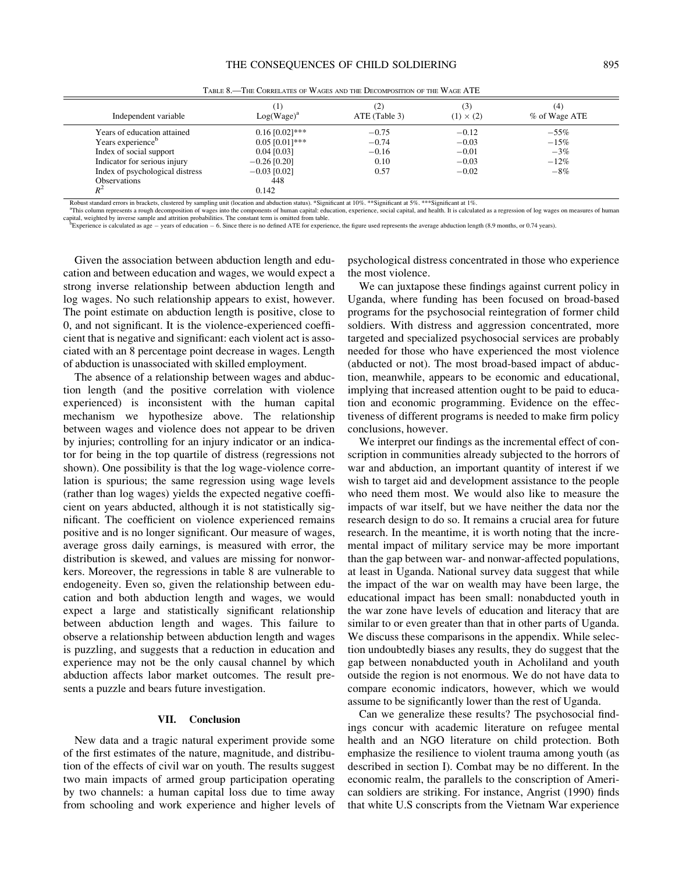|  | TABLE 8.—THE CORRELATES OF WAGES AND THE DECOMPOSITION OF THE WAGE ATE |  |  |
|--|------------------------------------------------------------------------|--|--|
|--|------------------------------------------------------------------------|--|--|

| Independent variable            | $Log(Wage)^a$    | (2)<br>ATE (Table 3) | (3)<br>$(1) \times (2)$ | (4)<br>% of Wage ATE |
|---------------------------------|------------------|----------------------|-------------------------|----------------------|
| Years of education attained     | $0.16$ [0.02]*** | $-0.75$              | $-0.12$                 | $-55%$               |
| Years experience <sup>b</sup>   | $0.05$ [0.01]*** | $-0.74$              | $-0.03$                 | $-15%$               |
| Index of social support         | $0.04$ [0.03]    | $-0.16$              | $-0.01$                 | $-3\%$               |
| Indicator for serious injury    | $-0.26$ [0.20]   | 0.10                 | $-0.03$                 | $-12%$               |
| Index of psychological distress | $-0.03$ [0.02]   | 0.57                 | $-0.02$                 | $-8%$                |
| Observations                    | 448              |                      |                         |                      |
| $R^2$                           | 0.142            |                      |                         |                      |

Robust standard errors in brackets, clustered by sampling unit (location and abduction status). \*Significant at 10%. \*\*Significant at 5%. \*\*\*Significant at 1%

<sup>a</sup>This column represents a rough decomposition of wages into the components of human capital: education, experience, social capital, and health. It is calculated as a regression of log wages on measures of human capital, weighted by inverse sample and attrition probabilities. The constant term is omitted from table. <sup>b</sup>

<sup>b</sup>Experience is calculated as age - years of education - 6. Since there is no defined ATE for experience, the figure used represents the average abduction length (8.9 months, or 0.74 years).

Given the association between abduction length and education and between education and wages, we would expect a strong inverse relationship between abduction length and log wages. No such relationship appears to exist, however. The point estimate on abduction length is positive, close to 0, and not significant. It is the violence-experienced coefficient that is negative and significant: each violent act is associated with an 8 percentage point decrease in wages. Length of abduction is unassociated with skilled employment.

The absence of a relationship between wages and abduction length (and the positive correlation with violence experienced) is inconsistent with the human capital mechanism we hypothesize above. The relationship between wages and violence does not appear to be driven by injuries; controlling for an injury indicator or an indicator for being in the top quartile of distress (regressions not shown). One possibility is that the log wage-violence correlation is spurious; the same regression using wage levels (rather than log wages) yields the expected negative coefficient on years abducted, although it is not statistically significant. The coefficient on violence experienced remains positive and is no longer significant. Our measure of wages, average gross daily earnings, is measured with error, the distribution is skewed, and values are missing for nonworkers. Moreover, the regressions in table 8 are vulnerable to endogeneity. Even so, given the relationship between education and both abduction length and wages, we would expect a large and statistically significant relationship between abduction length and wages. This failure to observe a relationship between abduction length and wages is puzzling, and suggests that a reduction in education and experience may not be the only causal channel by which abduction affects labor market outcomes. The result presents a puzzle and bears future investigation.

### VII. Conclusion

New data and a tragic natural experiment provide some of the first estimates of the nature, magnitude, and distribution of the effects of civil war on youth. The results suggest two main impacts of armed group participation operating by two channels: a human capital loss due to time away from schooling and work experience and higher levels of

psychological distress concentrated in those who experience the most violence.

We can juxtapose these findings against current policy in Uganda, where funding has been focused on broad-based programs for the psychosocial reintegration of former child soldiers. With distress and aggression concentrated, more targeted and specialized psychosocial services are probably needed for those who have experienced the most violence (abducted or not). The most broad-based impact of abduction, meanwhile, appears to be economic and educational, implying that increased attention ought to be paid to education and economic programming. Evidence on the effectiveness of different programs is needed to make firm policy conclusions, however.

We interpret our findings as the incremental effect of conscription in communities already subjected to the horrors of war and abduction, an important quantity of interest if we wish to target aid and development assistance to the people who need them most. We would also like to measure the impacts of war itself, but we have neither the data nor the research design to do so. It remains a crucial area for future research. In the meantime, it is worth noting that the incremental impact of military service may be more important than the gap between war- and nonwar-affected populations, at least in Uganda. National survey data suggest that while the impact of the war on wealth may have been large, the educational impact has been small: nonabducted youth in the war zone have levels of education and literacy that are similar to or even greater than that in other parts of Uganda. We discuss these comparisons in the appendix. While selection undoubtedly biases any results, they do suggest that the gap between nonabducted youth in Acholiland and youth outside the region is not enormous. We do not have data to compare economic indicators, however, which we would assume to be significantly lower than the rest of Uganda.

Can we generalize these results? The psychosocial findings concur with academic literature on refugee mental health and an NGO literature on child protection. Both emphasize the resilience to violent trauma among youth (as described in section I). Combat may be no different. In the economic realm, the parallels to the conscription of American soldiers are striking. For instance, Angrist (1990) finds that white U.S conscripts from the Vietnam War experience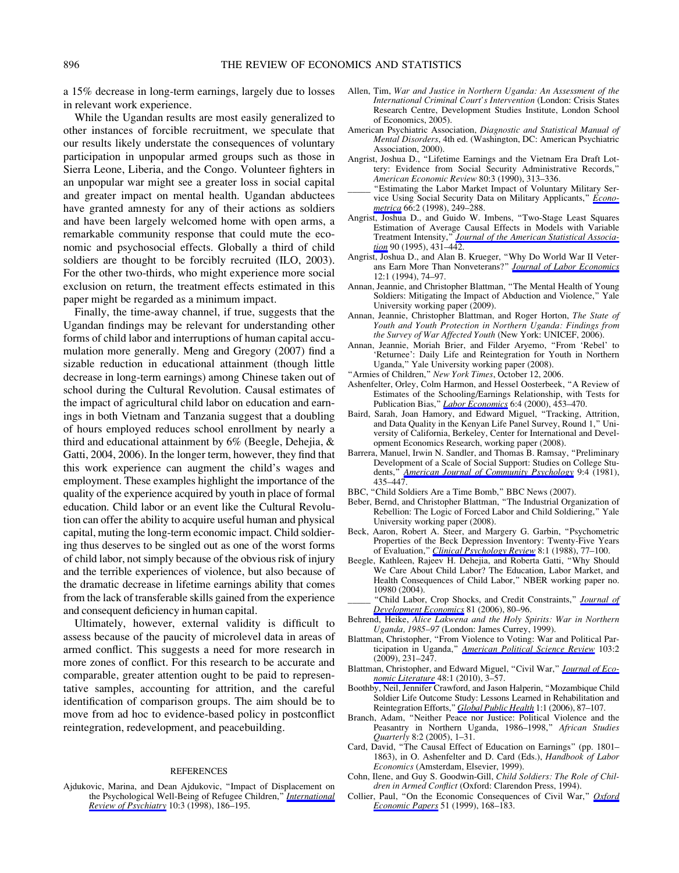a 15% decrease in long-term earnings, largely due to losses in relevant work experience.

While the Ugandan results are most easily generalized to other instances of forcible recruitment, we speculate that our results likely understate the consequences of voluntary participation in unpopular armed groups such as those in Sierra Leone, Liberia, and the Congo. Volunteer fighters in an unpopular war might see a greater loss in social capital and greater impact on mental health. Ugandan abductees have granted amnesty for any of their actions as soldiers and have been largely welcomed home with open arms, a remarkable community response that could mute the economic and psychosocial effects. Globally a third of child soldiers are thought to be forcibly recruited (ILO, 2003). For the other two-thirds, who might experience more social exclusion on return, the treatment effects estimated in this paper might be regarded as a minimum impact.

Finally, the time-away channel, if true, suggests that the Ugandan findings may be relevant for understanding other forms of child labor and interruptions of human capital accumulation more generally. Meng and Gregory (2007) find a sizable reduction in educational attainment (though little decrease in long-term earnings) among Chinese taken out of school during the Cultural Revolution. Causal estimates of the impact of agricultural child labor on education and earnings in both Vietnam and Tanzania suggest that a doubling of hours employed reduces school enrollment by nearly a third and educational attainment by 6% (Beegle, Dehejia, & Gatti, 2004, 2006). In the longer term, however, they find that this work experience can augment the child's wages and employment. These examples highlight the importance of the quality of the experience acquired by youth in place of formal education. Child labor or an event like the Cultural Revolution can offer the ability to acquire useful human and physical capital, muting the long-term economic impact. Child soldiering thus deserves to be singled out as one of the worst forms of child labor, not simply because of the obvious risk of injury and the terrible experiences of violence, but also because of the dramatic decrease in lifetime earnings ability that comes from the lack of transferable skills gained from the experience and consequent deficiency in human capital.

Ultimately, however, external validity is difficult to assess because of the paucity of microlevel data in areas of armed conflict. This suggests a need for more research in more zones of conflict. For this research to be accurate and comparable, greater attention ought to be paid to representative samples, accounting for attrition, and the careful identification of comparison groups. The aim should be to move from ad hoc to evidence-based policy in postconflict reintegration, redevelopment, and peacebuilding.

### **REFERENCES**

Ajdukovic, Marina, and Dean Ajdukovic, ''Impact of Displacement on the Psychological Well-Being of Refugee Children," *International* Review of Psychiatry 10:3 (1998), 186-195.

- Allen, Tim, War and Justice in Northern Uganda: An Assessment of the International Criminal Court's Intervention (London: Crisis States Research Centre, Development Studies Institute, London School of Economics, 2005).
- American Psychiatric Association, Diagnostic and Statistical Manual of Mental Disorders, 4th ed. (Washington, DC: American Psychiatric Association, 2000).
- Angrist, Joshua D., "Lifetime Earnings and the Vietnam Era Draft Lottery: Evidence from Social Security Administrative Records,'' American Economic Review 80:3 (1990), 313–336.
- \_\_\_\_\_ ''Estimating the Labor Market Impact of Voluntary Military Service Using Social Security Data on Military Applicants," Econometrica 66:2 (1998), 249-288.
- Angrist, Joshua D., and Guido W. Imbens, "Two-Stage Least Squares Estimation of Average Causal Effects in Models with Variable<br>Treatment Intensity." Journal of the American Statistical Associa-Journal of the American Statistical Associa- $\frac{tion}{90}$  (1995), 431–442.
- Angrist, Joshua D., and Alan B. Krueger, ''Why Do World War II Veterans Earn More Than Nonveterans?" Journal of Labor Economics 12:1 (1994), 74–97.
- Annan, Jeannie, and Christopher Blattman, ''The Mental Health of Young Soldiers: Mitigating the Impact of Abduction and Violence,'' Yale University working paper (2009).
- Annan, Jeannie, Christopher Blattman, and Roger Horton, The State of Youth and Youth Protection in Northern Uganda: Findings from the Survey of War Affected Youth (New York: UNICEF, 2006).
- Annan, Jeannie, Moriah Brier, and Filder Aryemo, ''From 'Rebel' to 'Returnee': Daily Life and Reintegration for Youth in Northern Uganda,'' Yale University working paper (2008).
- "Armies of Children," New York Times, October 12, 2006.
- Ashenfelter, Orley, Colm Harmon, and Hessel Oosterbeek, ''A Review of Estimates of the Schooling/Earnings Relationship, with Tests for Publication Bias," *Labor Economics* 6:4 (2000), 453-470.
- Baird, Sarah, Joan Hamory, and Edward Miguel, "Tracking, Attrition, and Data Quality in the Kenyan Life Panel Survey, Round 1,'' University of California, Berkeley, Center for International and Development Economics Research, working paper (2008).
- Barrera, Manuel, Irwin N. Sandler, and Thomas B. Ramsay, ''Preliminary Development of a Scale of Social Support: Studies on College Students," *American Journal of Community Psychology* 9:4 (1981), 435–447.
- BBC, "Child Soldiers Are a Time Bomb," BBC News (2007).
- Beber, Bernd, and Christopher Blattman, ''The Industrial Organization of Rebellion: The Logic of Forced Labor and Child Soldiering,'' Yale University working paper (2008).
- Beck, Aaron, Robert A. Steer, and Margery G. Garbin, ''Psychometric Properties of the Beck Depression Inventory: Twenty-Five Years of Evaluation," *Clinical Psychology Review* 8:1 (1988), 77–100.
- Beegle, Kathleen, Rajeev H. Dehejia, and Roberta Gatti, ''Why Should We Care About Child Labor? The Education, Labor Market, and Health Consequences of Child Labor,'' NBER working paper no. 10980 (2004).
- "Child Labor, Crop Shocks, and Credit Constraints," Journal of Development Economics 81 (2006), 80-96.
- Behrend, Heike, Alice Lakwena and the Holy Spirits: War in Northern Uganda, 1985–97 (London: James Currey, 1999).
- Blattman, Christopher, ''From Violence to Voting: War and Political Participation in Uganda," American Political Science Review 103:2 (2009), 231–247.
- Blattman, Christopher, and Edward Miguel, "Civil War," Journal of Economic Literature 48:1 (2010), 3-57.
- Boothby, Neil, Jennifer Crawford, and Jason Halperin, ''Mozambique Child Soldier Life Outcome Study: Lessons Learned in Rehabilitation and Reintegration Efforts," Global Public Health 1:1 (2006), 87-107.
- Branch, Adam, ''Neither Peace nor Justice: Political Violence and the Peasantry in Northern Uganda, 1986-1998," African Studies Quarterly 8:2 (2005), 1–31.
- Card, David, ''The Causal Effect of Education on Earnings'' (pp. 1801– 1863), in O. Ashenfelter and D. Card (Eds.), Handbook of Labor Economics (Amsterdam, Elsevier, 1999).
- Cohn, Ilene, and Guy S. Goodwin-Gill, Child Soldiers: The Role of Children in Armed Conflict (Oxford: Clarendon Press, 1994).
- Collier, Paul, "On the Economic Consequences of Civil War," Oxford Economic Papers 51 (1999), 168-183.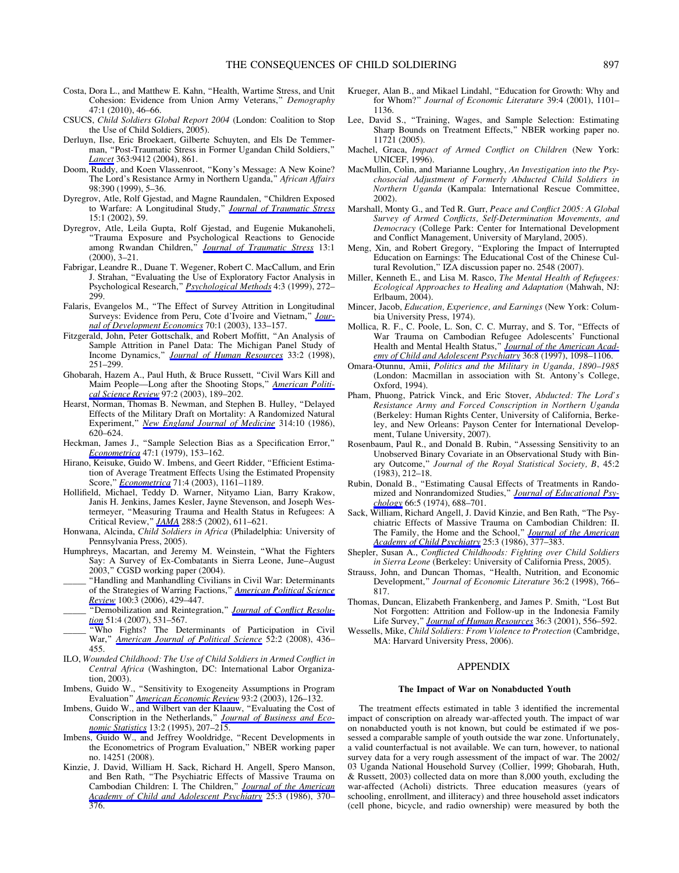- Costa, Dora L., and Matthew E. Kahn, ''Health, Wartime Stress, and Unit Cohesion: Evidence from Union Army Veterans,'' Demography 47:1 (2010), 46–66.
- CSUCS, Child Soldiers Global Report 2004 (London: Coalition to Stop the Use of Child Soldiers, 2005).
- Derluyn, Ilse, Eric Broekaert, Gilberte Schuyten, and Els De Temmerman, ''Post-Traumatic Stress in Former Ugandan Child Soldiers,'' Lancet 363:9412 (2004), 861.
- Doom, Ruddy, and Koen Vlassenroot, ''Kony's Message: A New Koine? The Lord's Resistance Army in Northern Uganda," African Affairs 98:390 (1999), 5–36.
- Dyregrov, Atle, Rolf Gjestad, and Magne Raundalen, ''Children Exposed to Warfare: A Longitudinal Study," Journal of Traumatic Stress 15:1 (2002), 59.
- Dyregrov, Atle, Leila Gupta, Rolf Gjestad, and Eugenie Mukanoheli, ''Trauma Exposure and Psychological Reactions to Genocide among Rwandan Children," Journal of Traumatic Stress 13:1 (2000), 3–21.
- Fabrigar, Leandre R., Duane T. Wegener, Robert C. MacCallum, and Erin J. Strahan, ''Evaluating the Use of Exploratory Factor Analysis in Psychological Research," *Psychological Methods* 4:3 (1999), 272– 299.
- Falaris, Evangelos M., ''The Effect of Survey Attrition in Longitudinal Surveys: Evidence from Peru, Cote d'Ivoire and Vietnam," Journal of Development Economics 70:1 (2003), 133-157.
- Fitzgerald, John, Peter Gottschalk, and Robert Moffitt, "An Analysis of Sample Attrition in Panel Data: The Michigan Panel Study of Income Dynamics," *Journal of Human Resources* 33:2 (1998), 251–299.
- Ghobarah, Hazem A., Paul Huth, & Bruce Russett, ''Civil Wars Kill and Maim People—Long after the Shooting Stops," American Political Science Review 97:2 (2003), 189-202.
- Hearst, Norman, Thomas B. Newman, and Stephen B. Hulley, ''Delayed Effects of the Military Draft on Mortality: A Randomized Natural Experiment," New England Journal of Medicine 314:10 (1986), 620–624.
- Heckman, James J., ''Sample Selection Bias as a Specification Error,'' Econometrica 47:1 (1979), 153-162.
- Hirano, Keisuke, Guido W. Imbens, and Geert Ridder, "Efficient Estimation of Average Treatment Effects Using the Estimated Propensity Score," Econometrica 71:4 (2003), 1161-1189.
- Hollifield, Michael, Teddy D. Warner, Nityamo Lian, Barry Krakow, Janis H. Jenkins, James Kesler, Jayne Stevenson, and Joseph Westermeyer, ''Measuring Trauma and Health Status in Refugees: A Critical Review,'' JAMA 288:5 (2002), 611–621.
- Honwana, Alcinda, Child Soldiers in Africa (Philadelphia: University of Pennsylvania Press, 2005).
- Humphreys, Macartan, and Jeremy M. Weinstein, ''What the Fighters Say: A Survey of Ex-Combatants in Sierra Leone, June–August 2003,'' CGSD working paper (2004).
- "Handling and Manhandling Civilians in Civil War: Determinants of the Strategies of Warring Factions," American Political Science Review 100:3 (2006), 429-447.
- "Demobilization and Reintegration," Journal of Conflict Resolution 51:4 (2007), 531-567.
- "Who Fights? The Determinants of Participation in Civil War," American Journal of Political Science 52:2 (2008), 436– 455.
- ILO, Wounded Childhood: The Use of Child Soldiers in Armed Conflict in Central Africa (Washington, DC: International Labor Organization, 2003).
- Imbens, Guido W., ''Sensitivity to Exogeneity Assumptions in Program Evaluation'' American Economic Review 93:2 (2003), 126–132.
- Imbens, Guido W., and Wilbert van der Klaauw, ''Evaluating the Cost of Conscription in the Netherlands," Journal of Business and Economic Statistics 13:2 (1995), 207-215.
- Imbens, Guido W., and Jeffrey Wooldridge, ''Recent Developments in the Econometrics of Program Evaluation,'' NBER working paper no. 14251 (2008).
- Kinzie, J. David, William H. Sack, Richard H. Angell, Spero Manson, and Ben Rath, ''The Psychiatric Effects of Massive Trauma on Cambodian Children: I. The Children," Journal of the American Academy of Child and Adolescent Psychiatry 25:3 (1986), 370-376.
- Krueger, Alan B., and Mikael Lindahl, ''Education for Growth: Why and for Whom?'' Journal of Economic Literature 39:4 (2001), 1101– 1136.
- Lee, David S., ''Training, Wages, and Sample Selection: Estimating Sharp Bounds on Treatment Effects,'' NBER working paper no. 11721 (2005).
- Machel, Graca, Impact of Armed Conflict on Children (New York: UNICEF, 1996).
- MacMullin, Colin, and Marianne Loughry, An Investigation into the Psychosocial Adjustment of Formerly Abducted Child Soldiers in Northern Uganda (Kampala: International Rescue Committee, 2002).
- Marshall, Monty G., and Ted R. Gurr, Peace and Conflict 2005: A Global Survey of Armed Conflicts, Self-Determination Movements, and Democracy (College Park: Center for International Development and Conflict Management, University of Maryland, 2005).
- Meng, Xin, and Robert Gregory, ''Exploring the Impact of Interrupted Education on Earnings: The Educational Cost of the Chinese Cultural Revolution," IZA discussion paper no. 2548 (2007).
- Miller, Kenneth E., and Lisa M. Rasco, The Mental Health of Refugees: Ecological Approaches to Healing and Adaptation (Mahwah, NJ: Erlbaum, 2004).
- Mincer, Jacob, Education, Experience, and Earnings (New York: Columbia University Press, 1974).
- Mollica, R. F., C. Poole, L. Son, C. C. Murray, and S. Tor, ''Effects of War Trauma on Cambodian Refugee Adolescents' Functional Health and Mental Health Status," Journal of the American Academy of Child and Adolescent Psychiatry 36:8 (1997), 1098-1106.
- Omara-Otunnu, Amii, Politics and the Military in Uganda, 1890-1985 (London: Macmillan in association with St. Antony's College, Oxford, 1994).
- Pham, Phuong, Patrick Vinck, and Eric Stover, Abducted: The Lord's Resistance Army and Forced Conscription in Northern Uganda (Berkeley: Human Rights Center, University of California, Berkeley, and New Orleans: Payson Center for International Development, Tulane University, 2007).
- Rosenbaum, Paul R., and Donald B. Rubin, ''Assessing Sensitivity to an Unobserved Binary Covariate in an Observational Study with Binary Outcome,'' Journal of the Royal Statistical Society, B, 45:2 (1983), 212–18.
- Rubin, Donald B., ''Estimating Causal Effects of Treatments in Randomized and Nonrandomized Studies," Journal of Educational Psychology 66:5 (1974), 688-701.
- Sack, William, Richard Angell, J. David Kinzie, and Ben Rath, ''The Psychiatric Effects of Massive Trauma on Cambodian Children: II. The Family, the Home and the School," *Journal of the American* Academy of Child Psychiatry 25:3 (1986), 377–383.
- Shepler, Susan A., Conflicted Childhoods: Fighting over Child Soldiers in Sierra Leone (Berkeley: University of California Press, 2005).
- Strauss, John, and Duncan Thomas, ''Health, Nutrition, and Economic Development,'' Journal of Economic Literature 36:2 (1998), 766– 817.
- Thomas, Duncan, Elizabeth Frankenberg, and James P. Smith, ''Lost But Not Forgotten: Attrition and Follow-up in the Indonesia Family Life Survey," *Journal of Human Resources* 36:3 (2001), 556–592.
- Wessells, Mike, Child Soldiers: From Violence to Protection (Cambridge, MA: Harvard University Press, 2006).

### APPENDIX

#### The Impact of War on Nonabducted Youth

The treatment effects estimated in table 3 identified the incremental impact of conscription on already war-affected youth. The impact of war on nonabducted youth is not known, but could be estimated if we possessed a comparable sample of youth outside the war zone. Unfortunately, a valid counterfactual is not available. We can turn, however, to national survey data for a very rough assessment of the impact of war. The 2002/ 03 Uganda National Household Survey (Collier, 1999; Ghobarah, Huth, & Russett, 2003) collected data on more than 8,000 youth, excluding the war-affected (Acholi) districts. Three education measures (years of schooling, enrollment, and illiteracy) and three household asset indicators (cell phone, bicycle, and radio ownership) were measured by both the